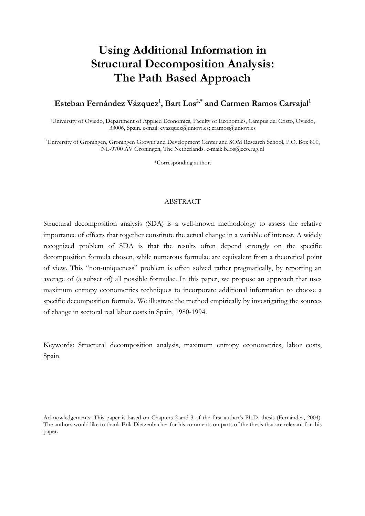# **Using Additional Information in Structural Decomposition Analysis: The Path Based Approach**

# Esteban Fernández Vázquez<sup>1</sup>, Bart Los<sup>2,\*</sup> and Carmen Ramos Carvajal<sup>1</sup>

1University of Oviedo, Department of Applied Economics, Faculty of Economics, Campus del Cristo, Oviedo, 33006, Spain. e-mail: evazquez@uniovi.es; cramos@uniovi.es

2University of Groningen, Groningen Growth and Development Center and SOM Research School, P.O. Box 800, NL-9700 AV Groningen, The Netherlands. e-mail: b.los@eco.rug.nl

\*Corresponding author.

#### ABSTRACT

Structural decomposition analysis (SDA) is a well-known methodology to assess the relative importance of effects that together constitute the actual change in a variable of interest. A widely recognized problem of SDA is that the results often depend strongly on the specific decomposition formula chosen, while numerous formulae are equivalent from a theoretical point of view. This "non-uniqueness" problem is often solved rather pragmatically, by reporting an average of (a subset of) all possible formulae. In this paper, we propose an approach that uses maximum entropy econometrics techniques to incorporate additional information to choose a specific decomposition formula. We illustrate the method empirically by investigating the sources of change in sectoral real labor costs in Spain, 1980-1994.

Keywords: Structural decomposition analysis, maximum entropy econometrics, labor costs, Spain.

Acknowledgements: This paper is based on Chapters 2 and 3 of the first author's Ph.D. thesis (Fernández, 2004). The authors would like to thank Erik Dietzenbacher for his comments on parts of the thesis that are relevant for this paper.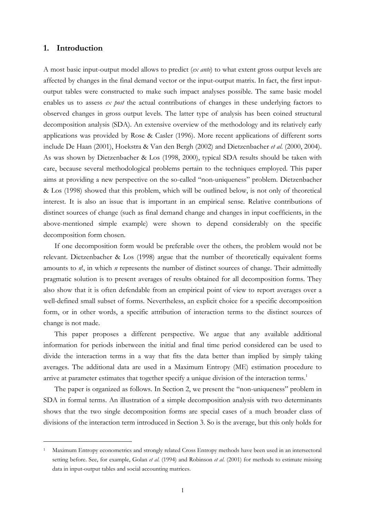#### **1. Introduction**

1

A most basic input-output model allows to predict (*ex ante*) to what extent gross output levels are affected by changes in the final demand vector or the input-output matrix. In fact, the first inputoutput tables were constructed to make such impact analyses possible. The same basic model enables us to assess *ex post* the actual contributions of changes in these underlying factors to observed changes in gross output levels. The latter type of analysis has been coined structural decomposition analysis (SDA). An extensive overview of the methodology and its relatively early applications was provided by Rose & Casler (1996). More recent applications of different sorts include De Haan (2001), Hoekstra & Van den Bergh (2002) and Dietzenbacher *et al*. (2000, 2004). As was shown by Dietzenbacher & Los (1998, 2000), typical SDA results should be taken with care, because several methodological problems pertain to the techniques employed. This paper aims at providing a new perspective on the so-called "non-uniqueness" problem. Dietzenbacher & Los (1998) showed that this problem, which will be outlined below, is not only of theoretical interest. It is also an issue that is important in an empirical sense. Relative contributions of distinct sources of change (such as final demand change and changes in input coefficients, in the above-mentioned simple example) were shown to depend considerably on the specific decomposition form chosen.

If one decomposition form would be preferable over the others, the problem would not be relevant. Dietzenbacher & Los (1998) argue that the number of theoretically equivalent forms amounts to *n*!, in which *n* represents the number of distinct sources of change. Their admittedly pragmatic solution is to present averages of results obtained for all decomposition forms. They also show that it is often defendable from an empirical point of view to report averages over a well-defined small subset of forms. Nevertheless, an explicit choice for a specific decomposition form, or in other words, a specific attribution of interaction terms to the distinct sources of change is not made.

This paper proposes a different perspective. We argue that any available additional information for periods inbetween the initial and final time period considered can be used to divide the interaction terms in a way that fits the data better than implied by simply taking averages. The additional data are used in a Maximum Entropy (ME) estimation procedure to arrive at parameter estimates that together specify a unique division of the interaction terms.<sup>1</sup>

The paper is organized as follows. In Section 2, we present the "non-uniqueness" problem in SDA in formal terms. An illustration of a simple decomposition analysis with two determinants shows that the two single decomposition forms are special cases of a much broader class of divisions of the interaction term introduced in Section 3. So is the average, but this only holds for

<sup>1</sup> Maximum Entropy econometrics and strongly related Cross Entropy methods have been used in an intersectoral setting before. See, for example, Golan *et al*. (1994) and Robinson *et al*. (2001) for methods to estimate missing data in input-output tables and social accounting matrices.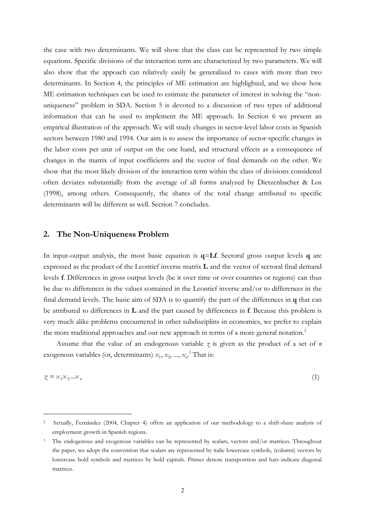the case with two determinants. We will show that the class can be represented by two simple equations. Specific divisions of the interaction term are characterized by two parameters. We will also show that the appoach can relatively easily be generalized to cases with more than two determinants. In Section 4, the principles of ME estimation are highlighted, and we show how ME estimation techniques can be used to estimate the parameter of interest in solving the "nonuniqueness" problem in SDA. Section 5 is devoted to a discussion of two types of additional information that can be used to implement the ME approach. In Section 6 we present an empirical illustration of the approach. We will study changes in sector-level labor costs in Spanish sectors between 1980 and 1994. Our aim is to assess the importance of sector-specific changes in the labor costs per unit of output on the one hand, and structural effects as a consequence of changes in the matrix of input coefficients and the vector of final demands on the other. We show that the most likely division of the interaction term within the class of divisions considered often deviates substantially from the average of all forms analyzed by Dietzenbacher & Los (1998), among others. Consequently, the shares of the total change attributed to specific determinants will be different as well. Section 7 concludes.

#### **2. The Non-Uniqueness Problem**

1

In input-output analysis, the most basic equation is **q**=**Lf**. Sectoral gross output levels **q** are expressed as the product of the Leontief inverse matrix **L** and the vector of sectoral final demand levels **f**. Differences in gross output levels (be it over time or over countries or regions) can thus be due to differences in the values contained in the Leontief inverse and/or to differences in the final demand levels. The basic aim of SDA is to quantify the part of the differences in **q** that can be attributed to differences in **L** and the part caused by differences in **f**. Because this problem is very much alike problems encountered in other subdisciplins in economics, we prefer to explain the more traditional approaches and our new approach in terms of a more general notation.<sup>2</sup>

 Assume that the value of an endogenous variable *z* is given as the product of a set of *n* exogenous variables (or, determinants)  $x_1, x_2, ..., x_n$ <sup>3</sup> That is:

$$
z = x_1 x_2 ... x_n \tag{1}
$$

<sup>2</sup> Actually, Fernández (2004, Chapter 4) offers an application of our methodology to a shift-share analysis of employment growth in Spanish regions.

<sup>&</sup>lt;sup>3</sup> The endogenous and exogenous variables can be represented by scalars, vectors and/or matrices. Throughout the paper, we adopt the convention that scalars are represented by italic lowercase symbols, (column) vectors by lowercase bold symbols and matrices by bold capitals. Primes denote transposition and hats indicate diagonal matrices.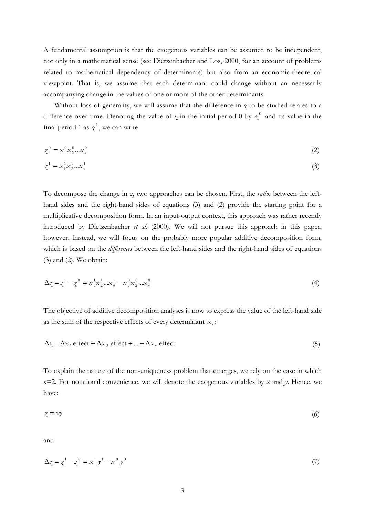A fundamental assumption is that the exogenous variables can be assumed to be independent, not only in a mathematical sense (see Dietzenbacher and Los, 2000, for an account of problems related to mathematical dependency of determinants) but also from an economic-theoretical viewpoint. That is, we assume that each determinant could change without an necessarily accompanying change in the values of one or more of the other determinants.

Without loss of generality, we will assume that the difference in  $\gamma$  to be studied relates to a difference over time. Denoting the value of  $\zeta$  in the initial period 0 by  $\zeta^0$  and its value in the final period 1 as  $z^1$ , we can write

$$
z^{0} = x_{1}^{0} x_{2}^{0} ... x_{n}^{0}
$$
 (2)

$$
z^{1} = x_{1}^{1} x_{2}^{1} ... x_{n}^{1}
$$
 (3)

To decompose the change in *z*, two approaches can be chosen. First, the *ratios* between the lefthand sides and the right-hand sides of equations (3) and (2) provide the starting point for a multiplicative decomposition form. In an input-output context, this approach was rather recently introduced by Dietzenbacher *et al*. (2000). We will not pursue this approach in this paper, however. Instead, we will focus on the probably more popular additive decomposition form, which is based on the *differences* between the left-hand sides and the right-hand sides of equations (3) and (2). We obtain:

$$
\Delta \chi = \chi^1 - \chi^0 = x_1^1 x_2^1 ... x_n^1 - x_1^0 x_2^0 ... x_n^0
$$
\n(4)

The objective of additive decomposition analyses is now to express the value of the left-hand side as the sum of the respective effects of every determinant  $x_i$ :

$$
\Delta z = \Delta x_t \text{ effect} + \Delta x_2 \text{ effect} + ... + \Delta x_n \text{ effect}
$$
\n(5)

To explain the nature of the non-uniqueness problem that emerges, we rely on the case in which  $n=2$ . For notational convenience, we will denote the exogenous variables by *x* and *y*. Hence, we have:

$$
z = xy \tag{6}
$$

and

$$
\Delta z = z^1 - z^0 = x^1 y^1 - x^0 y^0 \tag{7}
$$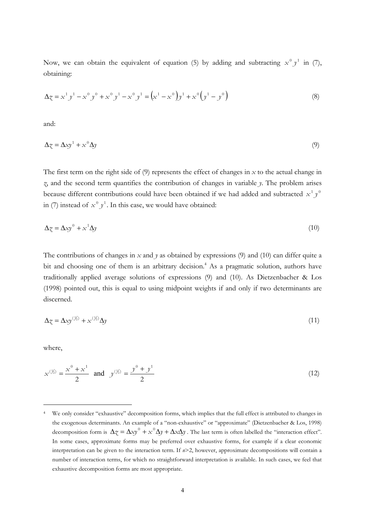Now, we can obtain the equivalent of equation (5) by adding and subtracting  $x^0 y^1$  in (7), obtaining:

$$
\Delta z = x^1 y^1 - x^0 y^0 + x^0 y^1 - x^0 y^1 = (x^1 - x^0) y^1 + x^0 (y^1 - y^0)
$$
\n(8)

and:

$$
\Delta z = \Delta x y^1 + x^0 \Delta y \tag{9}
$$

The first term on the right side of (9) represents the effect of changes in *x* to the actual change in *z*, and the second term quantifies the contribution of changes in variable *y*. The problem arises because different contributions could have been obtained if we had added and subtracted  $x^1 y^0$ in (7) instead of  $x^0$   $y^1$ . In this case, we would have obtained:

$$
\Delta z = \Delta x y^0 + x^1 \Delta y \tag{10}
$$

The contributions of changes in *x* and *y* as obtained by expressions (9) and (10) can differ quite a bit and choosing one of them is an arbitrary decision.<sup>4</sup> As a pragmatic solution, authors have traditionally applied average solutions of expressions (9) and (10). As Dietzenbacher & Los (1998) pointed out, this is equal to using midpoint weights if and only if two determinants are discerned.

$$
\Delta z = \Delta x y^{(\frac{1}{2})} + x^{(\frac{1}{2})} \Delta y \tag{11}
$$

where,

$$
x^{(\frac{1}{2})} = \frac{x^0 + x^1}{2} \quad \text{and} \quad y^{(\frac{1}{2})} = \frac{y^0 + y^1}{2}
$$
 (12)

We only consider "exhaustive" decomposition forms, which implies that the full effect is attributed to changes in the exogenous determinants. An example of a "non-exhaustive" or "approximate" (Dietzenbacher & Los, 1998) decomposition form is  $\Delta z = \Delta x y^0 + x^0 \Delta y + \Delta x \Delta y$ . The last term is often labelled the "interaction effect". In some cases, approximate forms may be preferred over exhaustive forms, for example if a clear economic interpretation can be given to the interaction term. If *n*>2, however, approximate decompositions will contain a number of interaction terms, for which no straightforward interpretation is available. In such cases, we feel that exhaustive decomposition forms are most appropriate.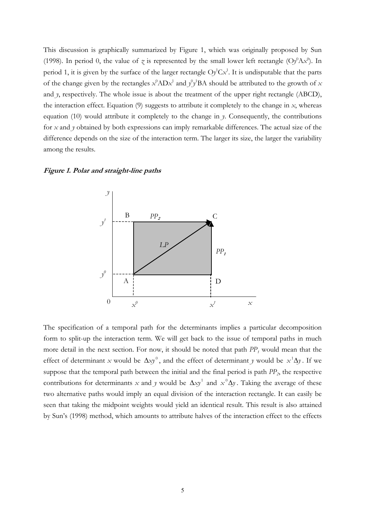This discussion is graphically summarized by Figure 1, which was originally proposed by Sun (1998). In period 0, the value of  $\zeta$  is represented by the small lower left rectangle (O<sub>*y*</sub><sup>0</sup>A $x$ <sup>0</sup>). In period 1, it is given by the surface of the larger rectangle  $Oy<sup>1</sup>Cx<sup>1</sup>$ . It is undisputable that the parts of the change given by the rectangles  $x^0$ AD $x^1$  and  $y^0y^1$ BA should be attributed to the growth of *x* and  $\gamma$ , respectively. The whole issue is about the treatment of the upper right rectangle (ABCD), the interaction effect. Equation  $(9)$  suggests to attribute it completely to the change in  $x$ , whereas equation (10) would attribute it completely to the change in *y*. Consequently, the contributions for *x* and *y* obtained by both expressions can imply remarkable differences. The actual size of the difference depends on the size of the interaction term. The larger its size, the larger the variability among the results.

#### **Figure 1. Polar and straight-line paths**



The specification of a temporal path for the determinants implies a particular decomposition form to split-up the interaction term. We will get back to the issue of temporal paths in much more detail in the next section. For now, it should be noted that path  $PP_1$  would mean that the effect of determinant *x* would be  $\Delta xy^0$ , and the effect of determinant *y* would be  $x^1\Delta y$ . If we suppose that the temporal path between the initial and the final period is path  $PP_2$ , the respective contributions for determinants *x* and *y* would be  $\Delta xy^1$  and  $x^0 \Delta y$ . Taking the average of these two alternative paths would imply an equal division of the interaction rectangle. It can easily be seen that taking the midpoint weights would yield an identical result. This result is also attained by Sun's (1998) method, which amounts to attribute halves of the interaction effect to the effects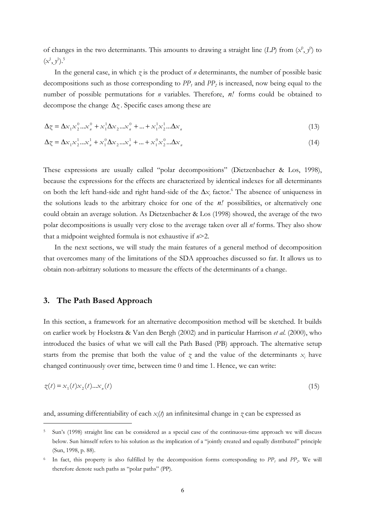of changes in the two determinants. This amounts to drawing a straight line  $(LP)$  from  $(x^0, y^0)$  to  $(x^1, y^1).$ <sup>5</sup>

In the general case, in which  $\chi$  is the product of *n* determinants, the number of possible basic decompositions such as those corresponding to  $PP_1$  and  $PP_2$  is increased, now being equal to the number of possible permutations for *n* variables. Therefore, *n!* forms could be obtained to decompose the change ∆*z* . Specific cases among these are

$$
\Delta z = \Delta x_1 x_2^0 \dots x_n^0 + x_1^1 \Delta x_2 \dots x_n^0 + \dots + x_1^1 x_2^1 \dots \Delta x_n
$$
\n(13)

$$
\Delta z = \Delta x_1 x_2^1 ... x_n^1 + x_1^0 \Delta x_2 ... x_n^1 + ... + x_1^0 x_2^0 ... \Delta x_n
$$
\n(14)

These expressions are usually called "polar decompositions" (Dietzenbacher & Los, 1998), because the expressions for the effects are characterized by identical indexes for all determinants on both the left hand-side and right hand-side of the ∆*xi* factor.6 The absence of uniqueness in the solutions leads to the arbitrary choice for one of the *n!* possibilities, or alternatively one could obtain an average solution. As Dietzenbacher & Los (1998) showed, the average of the two polar decompositions is usually very close to the average taken over all *n!* forms. They also show that a midpoint weighted formula is not exhaustive if *n*>2.

In the next sections, we will study the main features of a general method of decomposition that overcomes many of the limitations of the SDA approaches discussed so far. It allows us to obtain non-arbitrary solutions to measure the effects of the determinants of a change.

## **3. The Path Based Approach**

1

In this section, a framework for an alternative decomposition method will be sketched. It builds on earlier work by Hoekstra & Van den Bergh (2002) and in particular Harrison *et al*. (2000), who introduced the basics of what we will call the Path Based (PB) approach. The alternative setup starts from the premise that both the value of  $\zeta$  and the value of the determinants  $x_i$  have changed continuously over time, between time 0 and time 1. Hence, we can write:

$$
\chi(t) = x_1(t)x_2(t)...x_n(t)
$$
\n
$$
(15)
$$

and, assuming differentiability of each *xi* (*t*) an infinitesimal change in *z* can be expressed as

<sup>5</sup> Sun's (1998) straight line can be considered as a special case of the continuous-time approach we will discuss below. Sun himself refers to his solution as the implication of a "jointly created and equally distributed" principle (Sun, 1998, p. 88).

In fact, this property is also fulfilled by the decomposition forms corresponding to  $PP_1$  and  $PP_2$ . We will therefore denote such paths as "polar paths" (PP).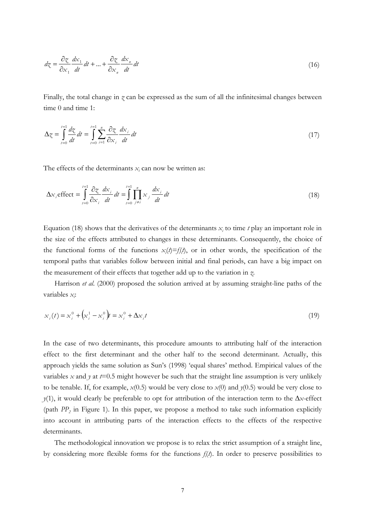$$
d\chi = \frac{\partial \chi}{\partial x_1} \frac{dx_1}{dt} dt + \dots + \frac{\partial \chi}{\partial x_n} \frac{dx_n}{dt} dt
$$
 (16)

Finally, the total change in *z* can be expressed as the sum of all the infinitesimal changes between time 0 and time 1:

$$
\Delta z = \int_{t=0}^{t=1} \frac{dz}{dt} dt = \int_{t=0}^{t=1} \sum_{i=1}^{n} \frac{\partial z}{\partial x_i} \frac{dx_i}{dt} dt
$$
 (17)

The effects of the determinants  $x_i$  can now be written as:

$$
\Delta x_i \text{effect} = \int_{t=0}^{t=1} \frac{\partial z}{\partial x_i} \frac{dx_i}{dt} dt = \int_{t=0}^{t=1} \prod_{j \neq i}^{n} x_j \frac{dx_i}{dt} dt \tag{18}
$$

Equation (18) shows that the derivatives of the determinants  $x_i$  to time  $t$  play an important role in the size of the effects attributed to changes in these determinants. Consequently, the choice of the functional forms of the functions  $x_i(t) = f_i(t)$ , or in other words, the specification of the temporal paths that variables follow between initial and final periods, can have a big impact on the measurement of their effects that together add up to the variation in *z*.

Harrison *et al*. (2000) proposed the solution arrived at by assuming straight-line paths of the variables *x*<sub>i</sub>

$$
x_i(t) = x_i^0 + \left(x_i^1 - x_i^0\right)t = x_i^0 + \Delta x_i t
$$
\n(19)

In the case of two determinants, this procedure amounts to attributing half of the interaction effect to the first determinant and the other half to the second determinant. Actually, this approach yields the same solution as Sun's (1998) 'equal shares' method. Empirical values of the variables  $x$  and  $y$  at  $t=0.5$  might however be such that the straight line assumption is very unlikely to be tenable. If, for example,  $x(0.5)$  would be very close to  $x(0)$  and  $y(0.5)$  would be very close to *y*(1), it would clearly be preferable to opt for attribution of the interaction term to the ∆*x*-effect (path PP<sub>2</sub> in Figure 1). In this paper, we propose a method to take such information explicitly into account in attributing parts of the interaction effects to the effects of the respective determinants.

The methodological innovation we propose is to relax the strict assumption of a straight line, by considering more flexible forms for the functions *fi* (*t*). In order to preserve possibilities to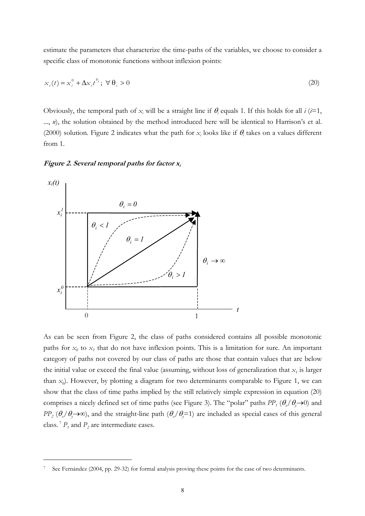estimate the parameters that characterize the time-paths of the variables, we choose to consider a specific class of monotonic functions without inflexion points:

$$
x_i(t) = x_i^0 + \Delta x_i t^{\theta_i}; \ \forall \ \theta_i > 0 \tag{20}
$$

Obviously, the temporal path of  $x_i$  will be a straight line if  $\theta_i$  equals 1. If this holds for all  $i$  ( $i=1$ , ..., *n*), the solution obtained by the method introduced here will be identical to Harrison's et al. (2000) solution. Figure 2 indicates what the path for  $x_i$  looks like if  $\theta_i$  takes on a values different from 1.

#### **Figure 2. Several temporal paths for factor x<sup>i</sup>**



As can be seen from Figure 2, the class of paths considered contains all possible monotonic paths for  $x_0$  to  $x_1$  that do not have inflexion points. This is a limitation for sure. An important category of paths not covered by our class of paths are those that contain values that are below the initial value or exceed the final value (assuming, without loss of generalization that  $x_i$  is larger than  $x_0$ ). However, by plotting a diagram for two determinants comparable to Figure 1, we can show that the class of time paths implied by the still relatively simple expression in equation (20) comprises a nicely defined set of time paths (see Figure 3). The "polar" paths  $PP_1$  ( $\theta_x/\theta_y \rightarrow 0$ ) and *PP<sub>2</sub>* ( $\theta_x/\theta_y \rightarrow \infty$ ), and the straight-line path ( $\theta_x/\theta_y = 1$ ) are included as special cases of this general class.<sup>7</sup>  $P_1$  and  $P_2$  are intermediate cases.

See Fernández (2004, pp. 29-32) for formal analysis proving these points for the case of two determinants.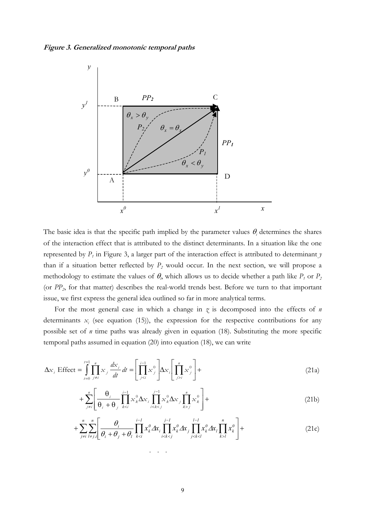

The basic idea is that the specific path implied by the parameter values  $\theta_i$  determines the shares of the interaction effect that is attributed to the distinct determinants. In a situation like the one represented by  $P_1$  in Figure 3, a larger part of the interaction effect is attributed to determinant  $\gamma$ than if a situation better reflected by  $P_2$  would occur. In the next section, we will propose a methodology to estimate the values of  $\theta$ , which allows us to decide whether a path like  $P_1$  or  $P_2$ (or PP<sub>2</sub>, for that matter) describes the real-world trends best. Before we turn to that important issue, we first express the general idea outlined so far in more analytical terms.

For the most general case in which a change in *z* is decomposed into the effects of *n* determinants  $x_i$  (see equation (15)), the expression for the respective contributions for any possible set of *n* time paths was already given in equation (18). Substituting the more specific temporal paths assumed in equation (20) into equation (18), we can write

$$
\Delta x_i \text{ Effect} = \int_{t=0}^{t=1} \prod_{j \neq i}^{n} x_j \frac{dx_i}{dt} dt = \left[ \prod_{ji}^{n} x_j^0 \right] +
$$
 (21a)

$$
+\sum_{j\neq i}^{n}\left[\frac{\theta_{i}}{\theta_{i}+\theta_{j}}\prod_{kj}^{n}x_{k}^{0}\right]+
$$
\n(21b)

$$
+\sum_{j\neq i}^{n}\sum_{l\neq j,l}\left[\frac{\theta_{i}}{\theta_{i}+\theta_{j}+\theta_{l}}\prod_{k\leq i}^{i-l}x_{k}^{0}\Delta x_{i}\prod_{l\leq k\leq j}^{j-l}x_{k}^{0}\Delta x_{j}\prod_{j\leq k\leq l}^{l-l}x_{k}^{0}\Delta x_{l}\prod_{k\geq l}^{n}x_{k}^{0}\right]+
$$
\n(21c)

*. . .*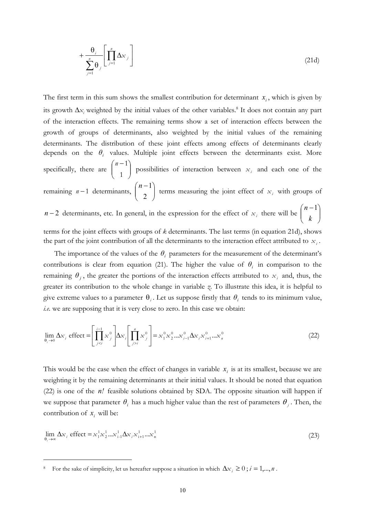$$
+\frac{\theta_i}{\sum_{j=1}^n \theta_j} \left[ \prod_{j=1}^n \Delta x_j \right]
$$
 (21d)

The first term in this sum shows the smallest contribution for determinant  $x_i$ , which is given by its growth ∆*xi* weighted by the initial values of the other variables.8 It does not contain any part of the interaction effects. The remaining terms show a set of interaction effects between the growth of groups of determinants, also weighted by the initial values of the remaining determinants. The distribution of these joint effects among effects of determinants clearly depends on the  $\theta_i$  values. Multiple joint effects between the determinants exist. More specifically, there are  $\begin{bmatrix} 1 & 1 \\ 1 & 1 \end{bmatrix}$  $\bigg)$  $\backslash$  $\overline{\phantom{a}}$  $\setminus$  $(n-$ 1  $n-1$ possibilities of interaction between  $x_i$  and each one of the remaining  $n-1$  determinants,  $\begin{bmatrix} 1 & 1 \\ 2 & 2 \end{bmatrix}$ J  $\setminus$  $\overline{\phantom{a}}$  $\setminus$  $(n-$ 2  $n-1$ terms measuring the joint effect of  $x_i$  with groups of *n* − 2 determinants, etc. In general, in the expression for the effect of  $x_i$  there will be  $\begin{bmatrix} a & b \\ b & c \end{bmatrix}$  $\bigg)$  $\backslash$  $\overline{\phantom{a}}$  $\setminus$  $(n$ *k*  $n-1$ terms for the joint effects with groups of *k* determinants. The last terms (in equation 21d), shows the part of the joint contribution of all the determinants to the interaction effect attributed to  $x_i$ .

The importance of the values of the  $\theta_i$  parameters for the measurement of the determinant's contributions is clear from equation (21). The higher the value of  $\theta_i$  in comparison to the remaining  $\theta$ <sub>i</sub>, the greater the portions of the interaction effects attributed to  $x$ <sub>i</sub> and, thus, the greater its contribution to the whole change in variable *z*. To illustrate this idea, it is helpful to give extreme values to a parameter  $\theta_i$ . Let us suppose firstly that  $\theta_i$  tends to its minimum value, *i.e.* we are supposing that it is very close to zero. In this case we obtain:

$$
\lim_{\theta_i \to 0} \Delta x_i \text{ effect} = \left[ \prod_{j < i}^{i-1} x_j^0 \right] \Delta x_i \left[ \prod_{j > i}^n x_j^0 \right] = x_1^0 x_2^0 \dots x_{i-1}^0 \Delta x_i x_{i+1}^0 \dots x_n^0 \tag{22}
$$

This would be the case when the effect of changes in variable  $x_i$  is at its smallest, because we are weighting it by the remaining determinants at their initial values. It should be noted that equation (22) is one of the *n!* feasible solutions obtained by SDA. The opposite situation will happen if we suppose that parameter  $\theta_i$  has a much higher value than the rest of parameters  $\theta_i$ . Then, the contribution of  $x_i$  will be:

$$
\lim_{\theta_i \to \infty} \Delta x_i \text{ effect} = x_1^1 x_2^1 \dots x_{i-1}^1 \Delta x_i x_{i+1}^1 \dots x_n^1 \tag{23}
$$

For the sake of simplicity, let us hereafter suppose a situation in which  $\Delta x_i \geq 0$ ;  $i = 1,...,n$ .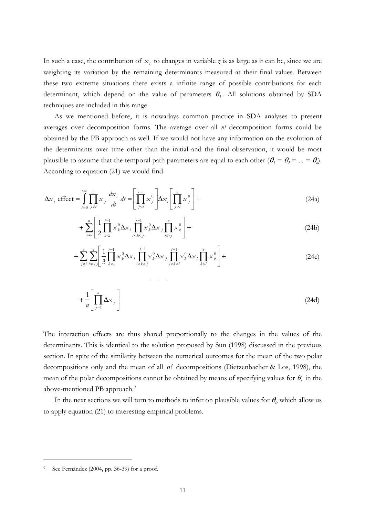In such a case, the contribution of  $x_i$  to changes in variable  $\gamma$  is as large as it can be, since we are weighting its variation by the remaining determinants measured at their final values. Between these two extreme situations there exists a infinite range of possible contributions for each determinant, which depend on the value of parameters  $\theta_i$ . All solutions obtained by SDA techniques are included in this range.

As we mentioned before, it is nowadays common practice in SDA analyses to present averages over decomposition forms. The average over all *n!* decomposition forms could be obtained by the PB approach as well. If we would not have any information on the evolution of the determinants over time other than the initial and the final observation, it would be most plausible to assume that the temporal path parameters are equal to each other  $(\theta_1 = \theta_2 = ... = \theta_n)$ . According to equation (21) we would find

$$
\Delta x_i \text{ effect} = \int_{t=0}^{t=1} \prod_{j\neq i}^{n} x_j \frac{dx_i}{dt} dt = \left[ \prod_{ji}^{n} x_j^0 \right] +
$$
 (24a)

*. . .*

$$
+\sum_{j\neq i}^{n} \left[ \frac{1}{2} \prod_{k=i}^{i-1} x_k^0 \Delta x_i \prod_{\substack{i < k < j}}^{j-1} x_k^0 \Delta x_j \prod_{k > j}^{n} x_k^0 \right] +
$$
\n(24b)

$$
+\sum_{j\neq i}^{n} \sum_{l\neq j,i}^{n} \left[ \frac{1}{3} \prod_{k=i}^{i-1} x_{k}^{0} \Delta x_{i} \prod_{jl}^{n} x_{k}^{0} \right] +
$$
(24c)

$$
+\frac{1}{n}\left[\prod_{j=1}^{n}\Delta x_{j}\right]
$$
\n(24d)

The interaction effects are thus shared proportionally to the changes in the values of the determinants. This is identical to the solution proposed by Sun (1998) discussed in the previous section. In spite of the similarity between the numerical outcomes for the mean of the two polar decompositions only and the mean of all *n!* decompositions (Dietzenbacher & Los, 1998), the mean of the polar decompositions cannot be obtained by means of specifying values for  $\theta$ <sup>*i*</sup> in the above-mentioned PB approach.<sup>9</sup>

In the next sections we will turn to methods to infer on plausible values for  $\theta$ <sub>*i*</sub>, which allow us to apply equation (21) to interesting empirical problems.

See Fernández (2004, pp. 36-39) for a proof.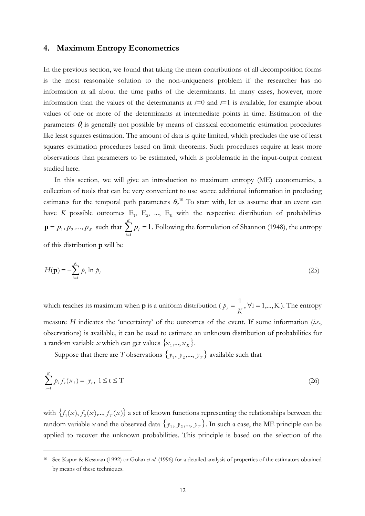#### **4. Maximum Entropy Econometrics**

In the previous section, we found that taking the mean contributions of all decomposition forms is the most reasonable solution to the non-uniqueness problem if the researcher has no information at all about the time paths of the determinants. In many cases, however, more information than the values of the determinants at  $t=0$  and  $t=1$  is available, for example about values of one or more of the determinants at intermediate points in time. Estimation of the parameters  $\theta_i$  is generally not possible by means of classical econometric estimation procedures like least squares estimation. The amount of data is quite limited, which precludes the use of least squares estimation procedures based on limit theorems. Such procedures require at least more observations than parameters to be estimated, which is problematic in the input-output context studied here.

In this section, we will give an introduction to maximum entropy (ME) econometrics, a collection of tools that can be very convenient to use scarce additional information in producing estimates for the temporal path parameters  $\theta$ <sup>10</sup><sup>10</sup> To start with, let us assume that an event can have *K* possible outcomes  $E_1$ ,  $E_2$ , ...,  $E_K$  with the respective distribution of probabilities  $\mathbf{p} = p_1, p_2, ..., p_k$  such that  $\sum p_i = 1$  $\sum_{i=1}^K p_i =$ *i*  $p_i = 1$ . Following the formulation of Shannon (1948), the entropy of this distribution **p** will be

$$
H(\mathbf{p}) = -\sum_{i=1}^{K} p_i \ln p_i \tag{25}
$$

which reaches its maximum when **p** is a uniform distribution ( $p_i = \frac{1}{K}$ ,  $\forall i = 1,...,K$ ). The entropy measure *H* indicates the 'uncertainty' of the outcomes of the event. If some information (*i.e*.,

observations) is available, it can be used to estimate an unknown distribution of probabilities for a random variable *x* which can get values  $\{x_1, \ldots, x_k\}$ .

Suppose that there are *T* observations  $\{y_1, y_2, ..., y_T\}$  available such that

1

$$
\sum_{i=1}^{K} p_i f_i(x_i) = y_i, \ 1 \le t \le T
$$
\n(26)

with  $\{f_1(x), f_2(x),..., f_T(x)\}\$ a set of known functions representing the relationships between the random variable *x* and the observed data  $\{y_1, y_2, ..., y_T\}$ . In such a case, the ME principle can be applied to recover the unknown probabilities. This principle is based on the selection of the

<sup>10</sup> See Kapur & Kesavan (1992) or Golan *et al*. (1996) for a detailed analysis of properties of the estimators obtained by means of these techniques.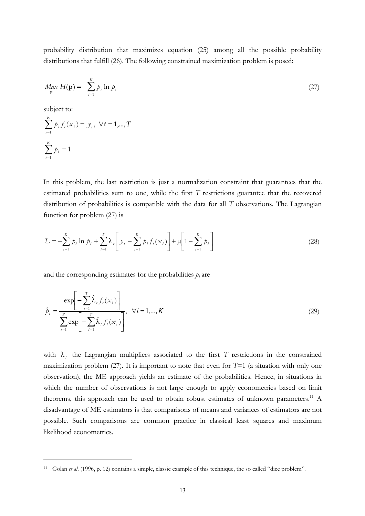probability distribution that maximizes equation (25) among all the possible probability distributions that fulfill (26). The following constrained maximization problem is posed:

$$
\underset{\mathbf{p}}{\text{Max}} H(\mathbf{p}) = -\sum_{i=1}^{K} p_i \ln p_i \tag{27}
$$

subject to:

1

$$
\sum_{i=1}^{K} p_i f_i(x_i) = y_i, \ \forall t = 1, ..., T
$$
  

$$
\sum_{i=1}^{K} p_i = 1
$$

In this problem, the last restriction is just a normalization constraint that guarantees that the estimated probabilities sum to one, while the first *T* restrictions guarantee that the recovered distribution of probabilities is compatible with the data for all *T* observations. The Lagrangian function for problem (27) is

$$
L = -\sum_{i=1}^{K} p_i \ln p_i + \sum_{i=1}^{T} \lambda_i \left[ y_i - \sum_{i=1}^{K} p_i f_i(x_i) \right] + \mu \left[ 1 - \sum_{i=1}^{K} p_i \right]
$$
 (28)

and the corresponding estimates for the probabilities  $p_i$  are

$$
\hat{p}_i = \frac{\exp\left[-\sum_{t=1}^T \hat{\lambda}_t f_t(x_i)\right]}{\sum_{i=1}^K \exp\left[-\sum_{t=1}^T \hat{\lambda}_t f_t(x_i)\right]}, \ \forall i = 1,...,K
$$
\n(29)

with  $\lambda_t$  the Lagrangian multipliers associated to the first *T* restrictions in the constrained maximization problem (27). It is important to note that even for *T*=1 (a situation with only one observation), the ME approach yields an estimate of the probabilities. Hence, in situations in which the number of observations is not large enough to apply econometrics based on limit theorems, this approach can be used to obtain robust estimates of unknown parameters.<sup>11</sup> A disadvantage of ME estimators is that comparisons of means and variances of estimators are not possible. Such comparisons are common practice in classical least squares and maximum likelihood econometrics.

<sup>11</sup> Golan *et al*. (1996, p. 12) contains a simple, classic example of this technique, the so called "dice problem".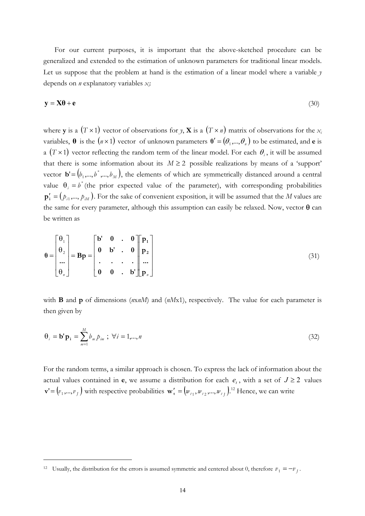For our current purposes, it is important that the above-sketched procedure can be generalized and extended to the estimation of unknown parameters for traditional linear models. Let us suppose that the problem at hand is the estimation of a linear model where a variable  $\gamma$ depends on *n* explanatory variables *xi* :

$$
y = X\theta + e \tag{30}
$$

where **y** is a  $(T \times 1)$  vector of observations for *y*, **X** is a  $(T \times n)$  matrix of observations for the *x<sub>i</sub>* variables,  $\theta$  is the  $(n \times 1)$  vector of unknown parameters  $\theta' = (\theta_1, ..., \theta_n)$  to be estimated, and **e** is a  $(T \times 1)$  vector reflecting the random term of the linear model. For each  $\theta_i$ , it will be assumed that there is some information about its  $M \geq 2$  possible realizations by means of a 'support' vector  $\mathbf{b}' = (b_1, ..., b^*, ..., b_M)$ , the elements of which are symmetrically distanced around a central value  $\theta_i = b^*$  (the prior expected value of the parameter), with corresponding probabilities  $\mathbf{p}'_i = (\rho_{i1},...,\rho_{iM})$ . For the sake of convenient exposition, it will be assumed that the *M* values are the same for every parameter, although this assumption can easily be relaxed. Now, vector  $\theta$  can be written as

$$
\theta = \begin{bmatrix} \theta_1 \\ \theta_2 \\ \dots \\ \theta_n \end{bmatrix} = \mathbf{B} \mathbf{p} = \begin{bmatrix} \mathbf{b}' & \mathbf{0} & \cdot & \mathbf{0} \\ \mathbf{0} & \mathbf{b}' & \cdot & \mathbf{0} \\ \cdot & \cdot & \cdot & \cdot \\ \mathbf{0} & \mathbf{0} & \cdot & \mathbf{b}' \end{bmatrix} \begin{bmatrix} \mathbf{p}_1 \\ \mathbf{p}_2 \\ \dots \\ \mathbf{p}_n \end{bmatrix}
$$
(31)

with **B** and **p** of dimensions (*nxnM*) and (*nMx*1), respectively. The value for each parameter is then given by

$$
\boldsymbol{\theta}_i = \mathbf{b}^{\mathsf{T}} \mathbf{p}_i = \sum_{m=1}^{M} b_m p_{im} \; ; \; \forall i = 1, \dots, n \tag{32}
$$

For the random terms, a similar approach is chosen. To express the lack of information about the actual values contained in **e**, we assume a distribution for each  $e_t$ , with a set of  $J \ge 2$  values  $\mathbf{v}' = (v_1, ..., v_J)$  with respective probabilities  $\mathbf{w}'_t = (w_{i_1}, w_{i_2}, ..., w_{i_J})$ .<sup>12</sup> Hence, we can write

<sup>&</sup>lt;sup>12</sup> Usually, the distribution for the errors is assumed symmetric and centered about 0, therefore  $v_1 = -v_j$ .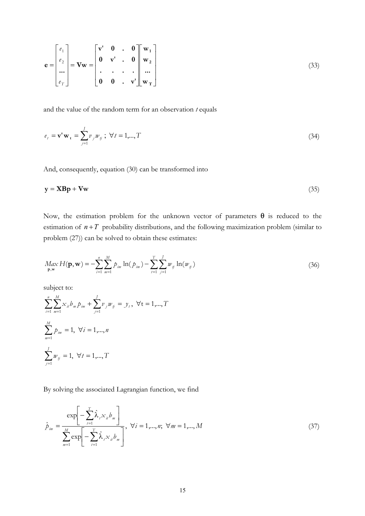$$
\mathbf{e} = \begin{bmatrix} e_1 \\ e_2 \\ \dots \\ e_T \end{bmatrix} = \mathbf{V} \mathbf{w} = \begin{bmatrix} \mathbf{v'} & \mathbf{0} & \cdot & \mathbf{0} \\ \mathbf{0} & \mathbf{v'} & \cdot & \mathbf{0} \\ \cdot & \cdot & \cdot & \cdot \\ \mathbf{0} & \mathbf{0} & \cdot & \mathbf{v'} \end{bmatrix} \begin{bmatrix} \mathbf{w}_1 \\ \mathbf{w}_2 \\ \dots \\ \mathbf{w}_T \end{bmatrix}
$$
(33)

and the value of the random term for an observation *t* equals

$$
e_t = \mathbf{v}^{\mathsf{T}} \mathbf{w}_t = \sum_{j=1}^{J} v_j w_j \; ; \; \forall t = 1, \dots, T \tag{34}
$$

And, consequently, equation (30) can be transformed into

$$
y = XBp + Vw \tag{35}
$$

Now, the estimation problem for the unknown vector of parameters  $\theta$  is reduced to the estimation of  $n+T$  probability distributions, and the following maximization problem (similar to problem (27)) can be solved to obtain these estimates:

$$
\max_{\mathbf{p}, \mathbf{w}} H(\mathbf{p}, \mathbf{w}) = -\sum_{i=1}^{n} \sum_{m=1}^{M} p_{im} \ln(p_{im}) - \sum_{i=1}^{T} \sum_{j=1}^{J} w_{ij} \ln(w_{ij})
$$
(36)

subject to:

$$
\sum_{i=1}^{n} \sum_{m=1}^{M} x_{ii} b_m p_{im} + \sum_{j=1}^{J} v_j w_{ij} = y_t, \forall t = 1,..., T
$$
  

$$
\sum_{m=1}^{M} p_{im} = 1, \forall i = 1,..., n
$$
  

$$
\sum_{j=1}^{J} w_{ij} = 1, \forall t = 1,..., T
$$

By solving the associated Lagrangian function, we find

$$
\hat{p}_{im} = \frac{\exp\left[-\sum_{i=1}^{T} \hat{\lambda}_{i} x_{il} b_{m}\right]}{\sum_{m=1}^{M} \exp\left[-\sum_{i=1}^{T} \hat{\lambda}_{i} x_{il} b_{m}\right]}, \ \forall i = 1,...,n; \ \forall m = 1,...,M
$$
\n(37)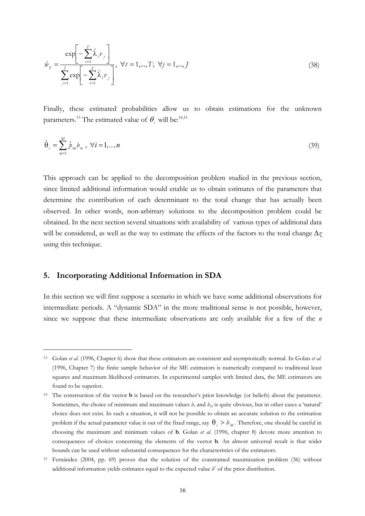$$
\hat{w}_{ij} = \frac{\exp\left[-\sum_{t=1}^{T} \hat{\lambda}_{i} v_{j}\right]}{\sum_{j=1}^{J} \exp\left[-\sum_{t=1}^{T} \hat{\lambda}_{i} v_{j}\right]}, \ \forall t = 1,...,T; \ \forall j = 1,...,J
$$
\n(38)

Finally, these estimated probabilities allow us to obtain estimations for the unknown parameters.<sup>13</sup> The estimated value of  $\theta_i$ , will be:<sup>14,15</sup>

$$
\hat{\Theta}_i = \sum_{m=1}^{M} \hat{p}_{im} b_m, \ \forall i = 1,...,n
$$
\n(39)

This approach can be applied to the decomposition problem studied in the previous section, since limited additional information would enable us to obtain estimates of the parameters that determine the contribution of each determinant to the total change that has actually been observed. In other words, non-arbitrary solutions to the decomposition problem could be obtained. In the next section several situations with availability of various types of additional data will be considered, as well as the way to estimate the effects of the factors to the total change ∆*z* using this technique.

#### **5. Incorporating Additional Information in SDA**

1

In this section we will first suppose a scenario in which we have some additional observations for intermediate periods. A "dynamic SDA" in the more traditional sense is not possible, however, since we suppose that these intermediate observations are only available for a few of the *n*

<sup>13</sup> Golan *et al*. (1996, Chapter 6) show that these estimators are consistent and asymptotically normal. In Golan *et al*. (1996, Chapter 7) the finite sample behavior of the ME estimators is numerically compared to traditional least squares and maximum likelihood estimators. In experimental samples with limited data, the ME estimators are found to be superior.

<sup>14</sup> The construction of the vector **b** is based on the researcher's prior knowledge (or beliefs) about the parameter. Sometimes, the choice of minimum and maximum values  $b_1$  and  $b_M$  is quite obvious, but in other cases a 'natural' choice does not exist. In such a situation, it will not be possible to obtain an accurate solution to the estimation problem if the actual parameter value is out of the fixed range, say  $\theta_i > b_M$ . Therefore, one should be careful in choosing the maximum and minimum values of **b**. Golan *et al*. (1996, chapter 8) devote more attention to consequences of choices concerning the elements of the vector **b**. An almost universal result is that wider bounds can be used without substantial consequences for the characteristics of the estimators.

<sup>15</sup> Fernández (2004, pp. 69) proves that the solution of the constrained maximization problem (36) without additional information yields estimates equal to the expected value *b*\* of the prior distribution.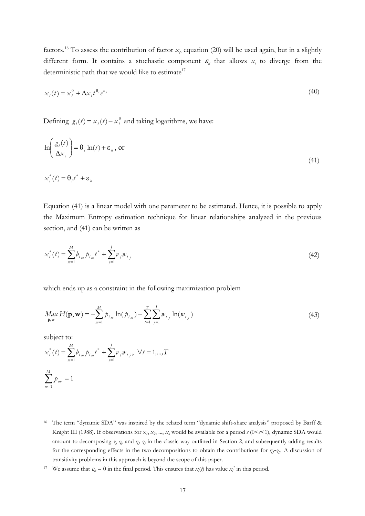factors.<sup>16</sup> To assess the contribution of factor  $x_i$ , equation (20) will be used again, but in a slightly different form. It contains a stochastic component  $\varepsilon$ <sub>*it*</sub> that allows  $x$ <sub>*i*</sub> to diverge from the deterministic path that we would like to estimate $17$ 

$$
x_i(t) = x_i^0 + \Delta x_i t^{\theta_i} e^{\varepsilon_{it}} \tag{40}
$$

Defining  $g_i(t) = x_i(t) - x_i^0$  and taking logarithms, we have:

$$
\ln\left(\frac{g_i(t)}{\Delta x_i}\right) = \theta_i \ln(t) + \varepsilon_{ii}, \text{ or}
$$
\n
$$
x_i^*(t) = \theta_i t^* + \varepsilon_{ii}
$$
\n(41)

Equation (41) is a linear model with one parameter to be estimated. Hence, it is possible to apply the Maximum Entropy estimation technique for linear relationships analyzed in the previous

section, and (41) can be written as

$$
x_i^*(t) = \sum_{m=1}^M b_{i_m} p_{i_m} t^* + \sum_{j=1}^J v_j w_{i_j}
$$
\n(42)

which ends up as a constraint in the following maximization problem

$$
\underset{\mathbf{p}, \mathbf{w}}{\text{Max}} H(\mathbf{p}, \mathbf{w}) = -\sum_{m=1}^{M} p_{i_m} \ln(p_{i_m}) - \sum_{t=1}^{T} \sum_{j=1}^{J} w_{i_j} \ln(w_{i_j})
$$
(43)

subject to:

 $\overline{a}$ 

$$
x_i^*(t) = \sum_{m=1}^M b_{i_m} p_{i_m} t^* + \sum_{j=1}^J v_j w_{i_j}, \ \forall t = 1,...,T
$$
  

$$
\sum_{m=1}^M p_{im} = 1
$$

<sup>&</sup>lt;sup>16</sup> The term "dynamic SDA" was inspired by the related term "dynamic shift-share analysis" proposed by Barff & Knight III (1988). If observations for  $x_1, x_2, ..., x_n$  would be available for a period  $s$  (0< $s$ <1), dynamic SDA would amount to decomposing  $z - z_0$  and  $z - z_0$  in the classic way outlined in Section 2, and subsequently adding results for the corresponding effects in the two decompositions to obtain the contributions for  $z_1-z_0$ . A discussion of transitivity problems in this approach is beyond the scope of this paper.

<sup>&</sup>lt;sup>17</sup> We assume that  $\varepsilon_{it} = 0$  in the final period. This ensures that  $x_i(t)$  has value  $x_i^t$  in this period.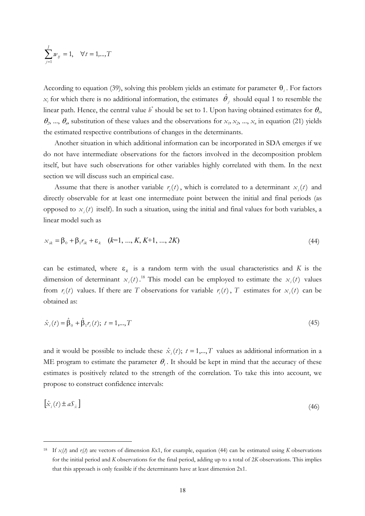$$
\sum_{j=1}^{J} w_{ij} = 1, \quad \forall t = 1,...,T
$$

1

According to equation (39), solving this problem yields an estimate for parameter θ*<sup>i</sup>* . For factors  $x_i$  for which there is no additional information, the estimates  $\hat{\theta}_j$  should equal 1 to resemble the linear path. Hence, the central value  $b^*$  should be set to 1. Upon having obtained estimates for  $\theta_i$ ,  $\theta_2$ , ...,  $\theta_n$ , substitution of these values and the observations for  $x_1, x_2, ..., x_n$  in equation (21) yields the estimated respective contributions of changes in the determinants.

Another situation in which additional information can be incorporated in SDA emerges if we do not have intermediate observations for the factors involved in the decomposition problem itself, but have such observations for other variables highly correlated with them. In the next section we will discuss such an empirical case.

Assume that there is another variable  $r<sub>i</sub>(t)$ , which is correlated to a determinant  $x<sub>i</sub>(t)$  and directly observable for at least one intermediate point between the initial and final periods (as opposed to  $x_i(t)$  itself). In such a situation, using the initial and final values for both variables, a linear model such as

$$
x_{ik} = \beta_0 + \beta_1 r_{ik} + \varepsilon_k \quad (k=1, ..., K, K+1, ..., 2K)
$$
\n(44)

can be estimated, where  $\varepsilon_k$  is a random term with the usual characteristics and K is the dimension of determinant  $x_i(t)$ .<sup>18</sup> This model can be employed to estimate the  $x_i(t)$  values from  $r_i(t)$  values. If there are *T* observations for variable  $r_i(t)$ , *T* estimates for  $x_i(t)$  can be obtained as:

$$
\hat{x}_i(t) = \hat{\beta}_0 + \hat{\beta}_1 r_i(t); \ t = 1, ..., T
$$
\n(45)

and it would be possible to include these  $\hat{x}_i(t)$ ;  $t = 1,...,T$  values as additional information in a ME program to estimate the parameter  $\theta_i$ . It should be kept in mind that the accuracy of these estimates is positively related to the strength of the correlation. To take this into account, we propose to construct confidence intervals:

$$
\left[\hat{x}_i(t) \pm a \mathcal{S}_{\hat{x}}\right] \tag{46}
$$

<sup>&</sup>lt;sup>18</sup> If  $x_i(t)$  and  $r_i(t)$  are vectors of dimension Kx1, for example, equation (44) can be estimated using *K* observations for the initial period and *K* observations for the final period, adding up to a total of 2*K* observations. This implies that this approach is only feasible if the determinants have at least dimension 2x1.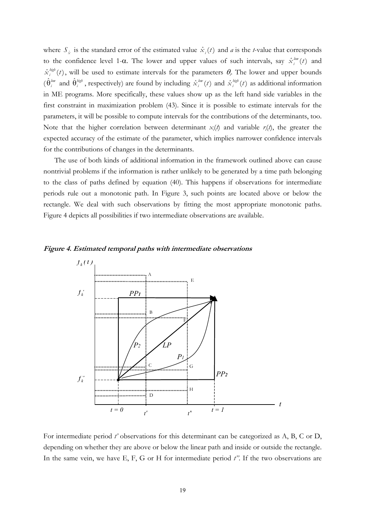where  $S_{\hat{x}}$  is the standard error of the estimated value  $\hat{x}_i(t)$  and *a* is the *t*-value that corresponds to the confidence level 1- $\alpha$ . The lower and upper values of such intervals, say  $\hat{x}^{low}_i(t)$  and  $\hat{x}^{high}_{i}(t)$ , will be used to estimate intervals for the parameters  $\theta_i$ . The lower and upper bounds  $(\hat{\theta}^{b_w}_{i})$  and  $\hat{\theta}^{bigb}_{i}$ , respectively) are found by including  $\hat{x}^{b_w}_{i}(t)$  and  $\hat{x}^{bigb}_{i}(t)$  as additional information in ME programs. More specifically, these values show up as the left hand side variables in the first constraint in maximization problem (43). Since it is possible to estimate intervals for the parameters, it will be possible to compute intervals for the contributions of the determinants, too. Note that the higher correlation between determinant  $x_i(t)$  and variable  $r_i(t)$ , the greater the expected accuracy of the estimate of the parameter, which implies narrower confidence intervals for the contributions of changes in the determinants.

The use of both kinds of additional information in the framework outlined above can cause nontrivial problems if the information is rather unlikely to be generated by a time path belonging to the class of paths defined by equation (40). This happens if observations for intermediate periods rule out a monotonic path. In Figure 3, such points are located above or below the rectangle. We deal with such observations by fitting the most appropriate monotonic paths. Figure 4 depicts all possibilities if two intermediate observations are available.

#### **Figure 4. Estimated temporal paths with intermediate observations**



For intermediate period *t'* observations for this determinant can be categorized as A, B, C or D, depending on whether they are above or below the linear path and inside or outside the rectangle. In the same vein, we have E, F, G or H for intermediate period *t''*. If the two observations are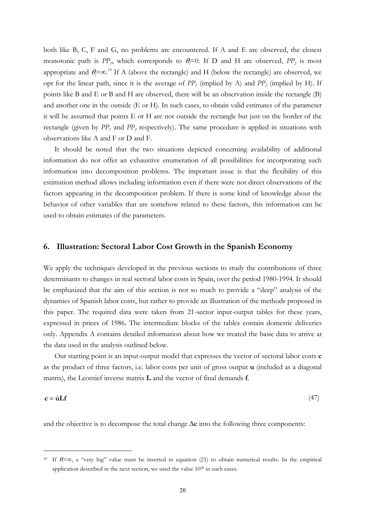both like B, C, F and G, no problems are encountered. If A and E are observed, the closest monotonic path is  $PP_1$ , which corresponds to  $\theta_i=0$ . If D and H are observed,  $PP_2$  is most appropriate and  $\theta_i = \infty$ .<sup>19</sup> If A (above the rectangle) and H (below the rectangle) are observed, we opt for the linear path, since it is the average of  $PP_1$  (implied by A) and  $PP_2$  (implied by H). If points like B and E or B and H are observed, there will be an observation inside the rectangle (B) and another one in the outside (E or H). In such cases, to obtain valid estimates of the parameter it will be assumed that points E or H are not outside the rectangle but just on the border of the rectangle (given by  $PP_1$  and  $PP_2$  respectively). The same procedure is applied in situations with observations like A and F or D and F.

It should be noted that the two situations depicted concerning availability of additional information do not offer an exhaustive enumeration of all possibilities for incorporating such information into decomposition problems. The important issue is that the flexibility of this estimation method allows including information even if there were not direct observations of the factors appearing in the decomposition problem. If there is some kind of knowledge about the behavior of other variables that are somehow related to these factors, this information can be used to obtain estimates of the parameters.

## **6. Illustration: Sectoral Labor Cost Growth in the Spanish Economy**

We apply the techniques developed in the previous sections to study the contributions of three determinants to changes in real sectoral labor costs in Spain, over the period 1980-1994. It should be emphasized that the aim of this section is not so much to provide a "deep" analysis of the dynamics of Spanish labor costs, but rather to provide an illustration of the methods proposed in this paper. The required data were taken from 21-sector input-output tables for these years, expressed in prices of 1986. The intermediate blocks of the tables contain domestic deliveries only. Appendix A contains detailed information about how we treated the basic data to arrive at the data used in the analysis outlined below.

Our starting point is an input-output model that expresses the vector of sectoral labor costs **c** as the product of three factors, i.e. labor costs per unit of gross output **u** (included as a diagonal matrix), the Leontief inverse matrix **L** and the vector of final demands **f**.

$$
c = \hat{u} Lf \tag{47}
$$

and the objective is to decompose the total change ∆**c** into the following three components:

<sup>&</sup>lt;sup>19</sup> If  $\theta = \infty$ , a "very big" value must be inserted in equation (21) to obtain numerical results. In the empirical application described in the next section, we used the value 1020 in such cases.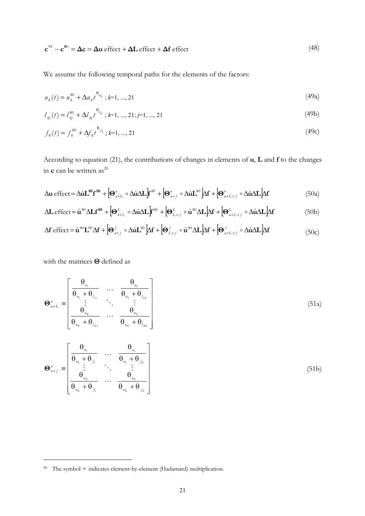$$
\mathbf{c}^{94} - \mathbf{c}^{80} = \Delta \mathbf{c} = \Delta \mathbf{u} \text{ effect} + \Delta \mathbf{L} \text{ effect} + \Delta \mathbf{f} \text{ effect}
$$
 (48)

We assume the following temporal paths for the elements of the factors:

$$
u_k(t) = u_k^{80} + \Delta u_k t^{\theta_{u_k}}; k=1, ..., 21
$$
\n(49a)

$$
l_{kj}(t) = l_{kj}^{80} + \Delta l_{kj} t^{\theta_{l_{kj}}}; k=1, ..., 21; j=1, ..., 21
$$
\n(49b)

$$
f_k(t) = f_k^{80} + \Delta f_k t^{\theta_{f_k}}; k=1, ..., 21
$$
\n(49c)

According to equation (21), the contributions of changes in elements of **u**, **L** and **f** to the changes in **c** can be written as<sup>20</sup>

$$
\Delta \mathbf{u} \text{ effect} = \Delta \hat{\mathbf{u}} \mathbf{L}^{80} \mathbf{f}^{80} + \left[ \mathbf{\Theta}_{n+L}^{n} \circ \Delta \hat{\mathbf{u}} \Delta \mathbf{L} \right] \mathbf{f}^{80} + \left[ \mathbf{\Theta}_{n+f}^{n} \circ \Delta \hat{\mathbf{u}} \mathbf{L}^{80} \right] \Delta \mathbf{f} + \left[ \mathbf{\Theta}_{n+L+f}^{n} \circ \Delta \hat{\mathbf{u}} \Delta \mathbf{L} \right] \Delta \mathbf{f}
$$
(50a)

$$
\Delta L \, \text{effect} = \hat{\mathbf{u}}^{80} \Delta L \mathbf{f}^{80} + \left[ \mathbf{\Theta}_{u+L}^{L} \circ \Delta \hat{\mathbf{u}} \Delta L \right] \mathbf{f}^{80} + \left[ \mathbf{\Theta}_{L+f}^{L} \circ \hat{\mathbf{u}}^{80} \Delta L \right] \Delta \mathbf{f} + \left[ \mathbf{\Theta}_{u+L+f}^{L} \circ \Delta \hat{\mathbf{u}} \Delta L \right] \Delta \mathbf{f}
$$
(50b)

$$
\Delta \mathbf{f} \text{ effect} = \hat{\mathbf{u}}^{80} \mathbf{L}^{80} \Delta \mathbf{f} + \left[ \mathbf{\Theta}_{u+f}^f \circ \Delta \hat{\mathbf{u}} \mathbf{L}^{80} \right] \Delta \mathbf{f} + \left[ \mathbf{\Theta}_{L+f}^f \circ \hat{\mathbf{u}}^{80} \Delta \mathbf{L} \right] \Delta \mathbf{f} + \left[ \mathbf{\Theta}_{u+L+f}^f \circ \Delta \hat{\mathbf{u}} \Delta \mathbf{L} \right] \Delta \mathbf{f}
$$
(50c)

with the matrices Θ defined as

$$
\mathbf{\Theta}_{u+L}^{u} \equiv \begin{bmatrix} \frac{\theta_{u_1}}{\theta_{u_1} + \theta_{l_{11}}} & \cdots & \frac{\theta_{u_1}}{\theta_{u_1} + \theta_{l_{1k}}} \\ \vdots & \ddots & \vdots \\ \frac{\theta_{u_K}}{\theta_{u_K} + \theta_{l_{K1}}} & \cdots & \frac{\theta_{u_K}}{\theta_{u_K} + \theta_{l_{KK}}} \end{bmatrix}
$$
(51a)

$$
\mathbf{\Theta}_{u+f}^{u} \equiv \begin{bmatrix} \frac{\theta_{u_1}}{\theta_{u_1} + \theta_{f_1}} & \cdots & \frac{\theta_{u_1}}{\theta_{u_1} + \theta_{f_K}} \\ \vdots & \ddots & \vdots \\ \frac{\theta_{u_K}}{\theta_{u_K} + \theta_{f_1}} & \cdots & \frac{\theta_{u_K}}{\theta_{u_K} + \theta_{f_K}} \end{bmatrix}
$$
(51b)

<sup>&</sup>lt;sup>20</sup> The symbol  $\circ$  indicates element-by-element (Hadamard) multiplication.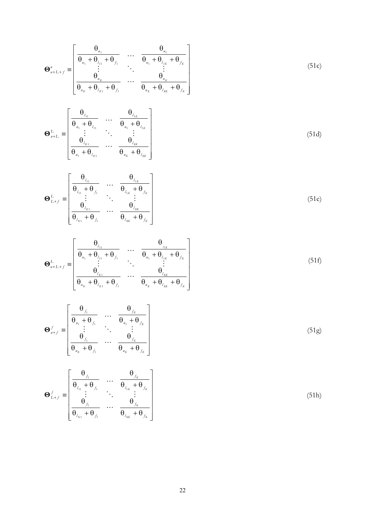$$
\mathbf{\Theta}_{n+L+f}^n = \begin{bmatrix}\n\frac{\theta_{n_1}}{\theta_{n_1} + \theta_{f_{11}}} & \cdots & \frac{\theta_{n_1}}{\theta_{n_1} + \theta_{f_{1K}}} \\
\vdots & \ddots & \vdots \\
\frac{\theta_{n_K}}{\theta_{n_K} + \theta_{f_{K1}} + \theta_{f_{1}}}\n\end{bmatrix}
$$
\n
$$
\mathbf{\Theta}_{n+L}^L = \begin{bmatrix}\n\frac{\theta_{l_1}}{\theta_{n_1} + \theta_{f_{11}}} & \cdots & \frac{\theta_{l_K}}{\theta_{n_K} + \theta_{f_{K}} + \theta_{f_{K}}}\n\end{bmatrix}
$$
\n
$$
\mathbf{\Theta}_{n+L}^L = \begin{bmatrix}\n\frac{\theta_{l_1}}{\theta_{n_1} + \theta_{f_{11}}} & \cdots & \frac{\theta_{l_{1K}}}{\theta_{n_1} + \theta_{f_{1K}}}\n\end{bmatrix}
$$
\n
$$
\mathbf{\Theta}_{n+L}^L = \begin{bmatrix}\n\frac{\theta_{l_{11}}}{\theta_{n_1} + \theta_{f_{1K}}} & \cdots & \frac{\theta_{l_{1K}}}{\theta_{n_K} + \theta_{f_{1K}}}\n\end{bmatrix}
$$
\n
$$
\mathbf{\Theta}_{n}^L = \begin{bmatrix}\n\frac{\theta_{l_{11}}}{\theta_{l_{11}} + \theta_{l_{11}}} & \cdots & \frac{\theta_{l_{1K}}}{\theta_{l_{1K}} + \theta_{f_{1K}}}\n\end{bmatrix}
$$
\n(51e)

$$
\mathbf{\Theta}_{L+f}^{L} = \begin{bmatrix} \frac{\theta_{l_{11}}}{\theta_{l_{11}} + \theta_{l_{1}}} & \cdots & \frac{\theta_{l_{1K}}}{\theta_{l_{1K}} + \theta_{l_{K}}} \\ \vdots & \ddots & \vdots \\ \frac{\theta_{l_{K1}}}{\theta_{l_{K1}} + \theta_{l_{1}}} & \cdots & \frac{\theta_{l_{KK}}}{\theta_{l_{KK}} + \theta_{l_{K}}} \end{bmatrix}
$$
(51e)

$$
\mathbf{\Theta}_{u+L+f}^{L} = \begin{bmatrix} \frac{\theta_{l_{11}}}{\theta_{u_1} + \theta_{l_{11}} + \theta_{f_1}} & \cdots & \frac{\theta_{l_{1K}}}{\theta_{u_1} + \theta_{l_{1K}} + \theta_{f_K}} \\ \vdots & \ddots & \vdots \\ \frac{\theta_{l_{K1}}}{\theta_{u_K} + \theta_{l_{K1}} + \theta_{f_1}} & \cdots & \frac{\theta_{l_{KK}}}{\theta_{u_K} + \theta_{l_{KK}} + \theta_{f_K}} \end{bmatrix}
$$
(51f)

$$
\mathbf{\Theta}_{u+f}^{f} = \begin{bmatrix} \frac{\theta_{f_1}}{\theta_{u_1} + \theta_{f_1}} & \cdots & \frac{\theta_{f_K}}{\theta_{u_1} + \theta_{f_K}} \\ \vdots & \ddots & \vdots \\ \frac{\theta_{f_1}}{\theta_{u_K} + \theta_{f_1}} & \cdots & \frac{\theta_{f_K}}{\theta_{u_K} + \theta_{f_K}} \end{bmatrix}
$$
(51g)

$$
\mathbf{\Theta}_{L+f}^{f} = \begin{bmatrix} \frac{\theta_{f_1}}{\theta_{l_1} + \theta_{f_1}} & \cdots & \frac{\theta_{f_k}}{\theta_{l_k} + \theta_{f_k}} \\ \vdots & \ddots & \vdots \\ \frac{\theta_{f_1}}{\theta_{l_{k1}} + \theta_{f_1}} & \cdots & \frac{\theta_{f_k}}{\theta_{l_{kk}} + \theta_{f_k}} \end{bmatrix}
$$
(51h)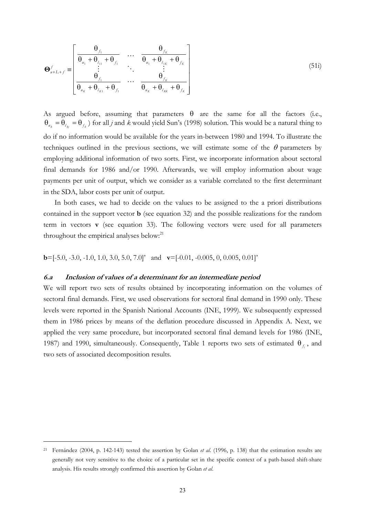$$
\mathbf{\Theta}_{u+L+f}^f = \begin{bmatrix} \frac{\theta_{f_1}}{\theta_{u_1} + \theta_{f_1} + \theta_{f_1}} & \cdots & \frac{\theta_{f_K}}{\theta_{u_1} + \theta_{f_K} + \theta_{f_K}} \\ \vdots & \ddots & \vdots \\ \frac{\theta_{f_1}}{\theta_{u_K} + \theta_{f_1} + \theta_{f_1}} & \cdots & \frac{\theta_{f_K}}{\theta_{u_K} + \theta_{f_K} + \theta_{f_K}} \end{bmatrix}
$$
(51i)

As argued before, assuming that parameters  $\theta$  are the same for all the factors (i.e.,  $\theta_{u_k} = \theta_{u_k} = \theta_{u_k}$  for all *j* and *k* would yield Sun's (1998) solution. This would be a natural thing to do if no information would be available for the years in-between 1980 and 1994. To illustrate the techniques outlined in the previous sections, we will estimate some of the  $\theta$  parameters by employing additional information of two sorts. First, we incorporate information about sectoral final demands for 1986 and/or 1990. Afterwards, we will employ information about wage payments per unit of output, which we consider as a variable correlated to the first determinant in the SDA, labor costs per unit of output.

In both cases, we had to decide on the values to be assigned to the a priori distributions contained in the support vector **b** (see equation 32) and the possible realizations for the random term in vectors **v** (see equation 33). The following vectors were used for all parameters throughout the empirical analyses below: $^{21}$ 

**b**=[-5.0, -3.0, -1.0, 1.0, 3.0, 5.0, 7.0]' and **v**=[-0.01, -0.005, 0, 0.005, 0.01]'

#### **6.a Inclusion of values of a determinant for an intermediate period**

1

We will report two sets of results obtained by incorporating information on the volumes of sectoral final demands. First, we used observations for sectoral final demand in 1990 only. These levels were reported in the Spanish National Accounts (INE, 1999). We subsequently expressed them in 1986 prices by means of the deflation procedure discussed in Appendix A. Next, we applied the very same procedure, but incorporated sectoral final demand levels for 1986 (INE, 1987) and 1990, simultaneously. Consequently, Table 1 reports two sets of estimated  $\theta_f$ , and two sets of associated decomposition results.

<sup>21</sup> Fernández (2004, p. 142-143) tested the assertion by Golan *et al*. (1996, p. 138) that the estimation results are generally not very sensitive to the choice of a particular set in the specific context of a path-based shift-share analysis. His results strongly confirmed this assertion by Golan *et al*.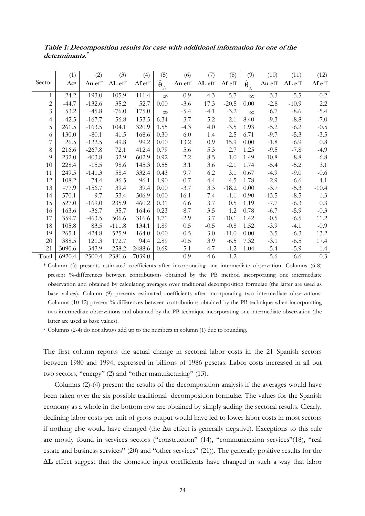|        | (1)                     | (2)            | (3)            | (4)            | (5)                           | (6)            | (7)            | (8)            | (9)                           | (10)           | (11)           | (12)           |
|--------|-------------------------|----------------|----------------|----------------|-------------------------------|----------------|----------------|----------------|-------------------------------|----------------|----------------|----------------|
| Sector | $\Delta$ c <sup>a</sup> | $\Delta u$ eff | $\Delta L$ eff | $\Delta f$ eff | $\hat{\mathbf{\theta}}_{f_i}$ | $\Delta u$ eff | $\Delta L$ eff | $\Delta f$ eff | $\hat{\mathbf{\Theta}}_{f_i}$ | $\Delta u$ eff | $\Delta L$ eff | $\Delta f$ eff |
| 1      | 24.2                    | $-193.0$       | 105.9          | 111.4          | $\infty$                      | $-0.9$         | 4.3            | $-5.7$         | $\infty$                      | $-3.3$         | $-5.5$         | $-0.2$         |
| 2      | $-44.7$                 | $-132.6$       | 35.2           | 52.7           | 0.00                          | $-3.6$         | 17.3           | $-20.5$        | 0.00                          | $-2.8$         | $-10.9$        | $2.2\,$        |
| 3      | 53.2                    | $-45.8$        | $-76.0$        | 175.0          | $\infty$                      | $-5.4$         | $-4.1$         | $-3.2$         | $\infty$                      | $-6.7$         | $-8.6$         | $-5.4$         |
| 4      | 42.5                    | $-167.7$       | 56.8           | 153.5          | 6.34                          | 3.7            | 5.2            | 2.1            | 8.40                          | $-9.3$         | $-8.8$         | $-7.0$         |
| 5      | 261.5                   | $-163.5$       | 104.1          | 320.9          | 1.55                          | $-4.3$         | 4.0            | $-3.5$         | 1.93                          | $-5.2$         | $-6.2$         | $-0.5$         |
| 6      | 130.0                   | $-80.1$        | 41.5           | 168.6          | 0.30                          | 6.0            | 1.4            | 2.5            | 6.71                          | $-9.7$         | $-5.3$         | $-3.5$         |
| 7      | 26.5                    | $-122.5$       | 49.8           | 99.2           | 0.00                          | 13.2           | 0.9            | 15.9           | 0.00                          | $-1.8$         | $-6.9$         | $0.8\,$        |
| $8\,$  | 216.6                   | $-267.8$       | 72.1           | 412.4          | 0.79                          | 5.6            | 5.3            | 2.7            | 1.25                          | $-9.5$         | $-7.8$         | $-4.9$         |
| 9      | 232.0                   | $-403.8$       | 32.9           | 602.9          | 0.92                          | 2.2            | 8.5            | 1.0            | 1.49                          | $-10.8$        | $-8.8$         | $-6.8$         |
| 10     | 228.4                   | $-15.5$        | 98.6           | 145.3          | 0.55                          | 3.1            | 3.6            | $-2.1$         | 1.74                          | $-5.4$         | $-5.2$         | $3.1\,$        |
| 11     | 249.5                   | $-141.3$       | 58.4           | 332.4          | 0.43                          | 9.7            | 6.2            | 3.1            | 0.67                          | $-4.9$         | $-9.0$         | $-0.6$         |
| 12     | 108.2                   | $-74.4$        | 86.5           | 96.1           | 1.90                          | $-0.7$         | 4.4            | $-4.5$         | 1.78                          | $-2.9$         | $-6.6$         | 4.1            |
| 13     | $-77.9$                 | $-156.7$       | 39.4           | 39.4           | 0.00                          | $-3.7$         | 3.3            | $-18.2$        | 0.00                          | $-3.7$         | $-5.3$         | $-10.4$        |
| 14     | 570.1                   | 9.7            | 53.4           | 506.9          | 0.00                          | 16.1           | 7.4            | $-1.1$         | 0.90                          | $-13.5$        | $-8.5$         | 1.3            |
| 15     | 527.0                   | $-169.0$       | 235.9          | 460.2          | 0.31                          | 6.6            | 3.7            | 0.5            | 1.19                          | $-7.7$         | $-6.3$         | 0.3            |
| 16     | 163.6                   | $-36.7$        | 35.7           | 164.6          | 0.23                          | 8.7            | 3.5            | 1.2            | 0.78                          | $-6.7$         | $-5.9$         | $-0.3$         |
| 17     | 359.7                   | $-463.5$       | 506.6          | 316.6          | 1.71                          | $-2.9$         | 3.7            | $-10.1$        | 1.42                          | $-0.5$         | $-6.5$         | 11.2           |
| 18     | 105.8                   | 83.5           | $-111.8$       | 134.1          | 1.89                          | 0.5            | $-0.5$         | $-0.8$         | 1.52                          | $-3.9$         | $-4.1$         | $-0.9$         |
| 19     | 265.1                   | $-424.8$       | 525.9          | 164.0          | 0.00                          | $-0.5$         | 3.0            | $-11.0$        | 0.00                          | $-3.5$         | $-6.3$         | 13.2           |
| 20     | 388.5                   | 121.3          | 172.7          | 94.4           | 2.89                          | $-0.5$         | 3.9            | $-6.5$         | 7.32                          | $-3.1$         | $-6.5$         | 17.4           |
| 21     | 3090.6                  | 343.9          | 258.2          | 2488.6         | 0.69                          | 5.1            | 4.7            | $-1.2$         | 1.04                          | $-5.4$         | $-5.9$         | 1.4            |
| Total  | 6920.4                  | $-2500.4$      | 2381.6         | 7039.0         |                               | 0.9            | 4.6            | $-1.2$         |                               | $-5.6$         | $-6.6$         | 0.3            |

**Table 1: Decomposition results for case with additional information for one of the determinants.\***

\* Column (5) presents estimated coefficients after incorporating one intermediate observation. Columns (6-8) present %-differences between contributions obtained by the PB method incorporating one intermediate observation and obtained by calculating averages over traditional decomposition formulae (the latter are used as base values). Column (9) presents estimated coefficients after incorporating two intermediate observations. Columns (10-12) present %-differences between contributions obtained by the PB technique when incorporating two intermediate observations and obtained by the PB technique incorporating one intermediate observation (the latter are used as base values).

<sup>a</sup> Columns (2-4) do not always add up to the numbers in column (1) due to rounding.

The first column reports the actual change in sectoral labor costs in the 21 Spanish sectors between 1980 and 1994, expressed in billions of 1986 pesetas. Labor costs increased in all but two sectors, "energy" (2) and "other manufacturing" (13).

Columns (2)-(4) present the results of the decomposition analysis if the averages would have been taken over the six possible traditional decomposition formulae. The values for the Spanish economy as a whole in the bottom row are obtained by simply adding the sectoral results. Clearly, declining labor costs per unit of gross output would have led to lower labor costs in most sectors if nothing else would have changed (the ∆**u** effect is generally negative). Exceptions to this rule are mostly found in services sectors ("construction" (14), "communication services"(18), "real estate and business services" (20) and "other services" (21)). The generally positive results for the ∆**L** effect suggest that the domestic input coefficients have changed in such a way that labor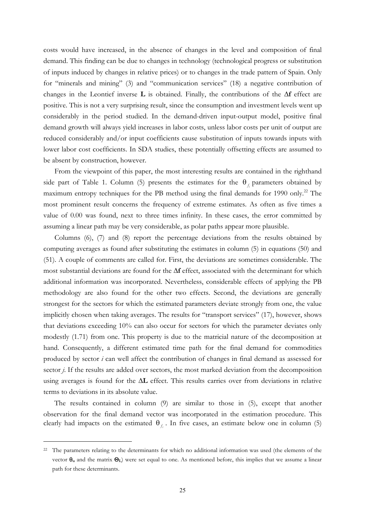costs would have increased, in the absence of changes in the level and composition of final demand. This finding can be due to changes in technology (technological progress or substitution of inputs induced by changes in relative prices) or to changes in the trade pattern of Spain. Only for "minerals and mining" (3) and "communication services" (18) a negative contribution of changes in the Leontief inverse **L** is obtained. Finally, the contributions of the ∆**f** effect are positive. This is not a very surprising result, since the consumption and investment levels went up considerably in the period studied. In the demand-driven input-output model, positive final demand growth will always yield increases in labor costs, unless labor costs per unit of output are reduced considerably and/or input coefficients cause substitution of inputs towards inputs with lower labor cost coefficients. In SDA studies, these potentially offsetting effects are assumed to be absent by construction, however.

From the viewpoint of this paper, the most interesting results are contained in the righthand side part of Table 1. Column (5) presents the estimates for the  $\theta_f$  parameters obtained by maximum entropy techniques for the PB method using the final demands for 1990 only.<sup>22</sup> The most prominent result concerns the frequency of extreme estimates. As often as five times a value of 0.00 was found, next to three times infinity. In these cases, the error committed by assuming a linear path may be very considerable, as polar paths appear more plausible.

Columns (6), (7) and (8) report the percentage deviations from the results obtained by computing averages as found after substituting the estimates in column (5) in equations (50) and (51). A couple of comments are called for. First, the deviations are sometimes considerable. The most substantial deviations are found for the ∆**f** effect, associated with the determinant for which additional information was incorporated. Nevertheless, considerable effects of applying the PB methodology are also found for the other two effects. Second, the deviations are generally strongest for the sectors for which the estimated parameters deviate strongly from one, the value implicitly chosen when taking averages. The results for "transport services" (17), however, shows that deviations exceeding 10% can also occur for sectors for which the parameter deviates only modestly (1.71) from one. This property is due to the matricial nature of the decomposition at hand. Consequently, a different estimated time path for the final demand for commodities produced by sector *i* can well affect the contribution of changes in final demand as assessed for sector *j*. If the results are added over sectors, the most marked deviation from the decomposition using averages is found for the ∆**L** effect. This results carries over from deviations in relative terms to deviations in its absolute value.

The results contained in column (9) are similar to those in (5), except that another observation for the final demand vector was incorporated in the estimation procedure. This clearly had impacts on the estimated  $\theta$ <sub>f</sub>. In five cases, an estimate below one in column (5)

<sup>&</sup>lt;sup>22</sup> The parameters relating to the determinants for which no additional information was used (the elements of the vector θ**u** and the matrix Θ**L**) were set equal to one. As mentioned before, this implies that we assume a linear path for these determinants.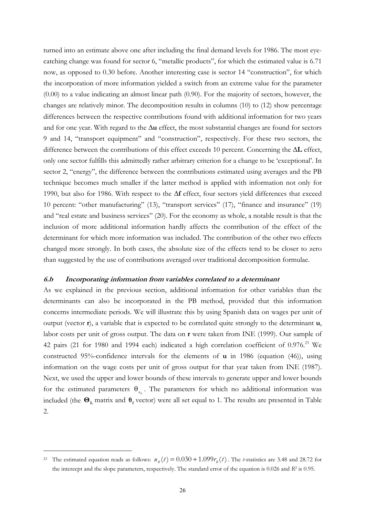turned into an estimate above one after including the final demand levels for 1986. The most eyecatching change was found for sector 6, "metallic products", for which the estimated value is 6.71 now, as opposed to 0.30 before. Another interesting case is sector 14 "construction", for which the incorporation of more information yielded a switch from an extreme value for the parameter (0.00) to a value indicating an almost linear path (0.90). For the majority of sectors, however, the changes are relatively minor. The decomposition results in columns (10) to (12) show percentage differences between the respective contributions found with additional information for two years and for one year. With regard to the ∆**u** effect, the most substantial changes are found for sectors 9 and 14, "transport equipment" and "construction", respectively. For these two sectors, the difference between the contributions of this effect exceeds 10 percent. Concerning the ∆**L** effect, only one sector fulfills this admittedly rather arbitrary criterion for a change to be 'exceptional'. In sector 2, "energy", the difference between the contributions estimated using averages and the PB technique becomes much smaller if the latter method is applied with information not only for 1990, but also for 1986. With respect to the ∆**f** effect, four sectors yield differences that exceed 10 percent: "other manufacturing" (13), "transport services" (17), "finance and insurance" (19) and "real estate and business services" (20). For the economy as whole, a notable result is that the inclusion of more additional information hardly affects the contribution of the effect of the determinant for which more information was included. The contribution of the other two effects changed more strongly. In both cases, the absolute size of the effects tend to be closer to zero than suggested by the use of contributions averaged over traditional decomposition formulae.

#### **6.b Incorporating information from variables correlated to a determinant**

As we explained in the previous section, additional information for other variables than the determinants can also be incorporated in the PB method, provided that this information concerns intermediate periods. We will illustrate this by using Spanish data on wages per unit of output (vector **r**), a variable that is expected to be correlated quite strongly to the determinant **u**, labor costs per unit of gross output. The data on **r** were taken from INE (1999). Our sample of 42 pairs (21 for 1980 and 1994 each) indicated a high correlation coefficient of 0.976.<sup>23</sup> We constructed 95%-confidence intervals for the elements of **u** in 1986 (equation (46)), using information on the wage costs per unit of gross output for that year taken from INE (1987). Next, we used the upper and lower bounds of these intervals to generate upper and lower bounds for the estimated parameters  $\theta_u$ . The parameters for which no additional information was included (the  $\Theta$ <sub>L</sub> matrix and  $\theta$ <sub>f</sub> vector) were all set equal to 1. The results are presented in Table 2.

<sup>&</sup>lt;sup>23</sup> The estimated equation reads as follows:  $u_k(t) = 0.030 + 1.099r_k(t)$ . The *t*-statistics are 3.48 and 28.72 for the interecpt and the slope parameters, respectively. The standard error of the equation is 0.026 and *R*2 is 0.95.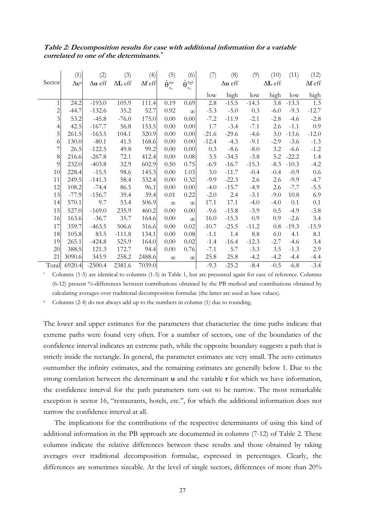| Table 2: Decomposition results for case with additional information for a variable |
|------------------------------------------------------------------------------------|
| correlated to one of the determinants. <sup>*</sup>                                |

|                | (1)                               | (2)                  | (3)            | (4)            | (5)                                     | (6)                          | (7)             | (8)            | (9)        | (10)           | (11)    | (12)           |
|----------------|-----------------------------------|----------------------|----------------|----------------|-----------------------------------------|------------------------------|-----------------|----------------|------------|----------------|---------|----------------|
| Sector         | $\Delta c^{\scriptscriptstyle a}$ | $\Delta u$ eff       | $\Delta L$ eff | $\Delta f$ eff | $\hat{\theta}^{low}$<br>$\mathcal{U}_k$ | $\hat{\theta}$ high<br>$u_k$ |                 | $\Delta u$ eff |            | $\Delta L$ eff |         | $\Delta f$ eff |
|                |                                   |                      |                |                |                                         |                              | $_{\text{low}}$ | high           | $\log$     | high           | $\log$  | high           |
| 1              | 24.2                              | $-193.0$             | 105.9          | 111.4          | 0.19                                    | 0.69                         | 2.8             | $-15.5$        | $-14.3$    | 3.8            | $-13.3$ | 1.3            |
| $\overline{c}$ | $-44.7$                           | $-132.6$             | 35.2           | 52.7           | 0.92                                    | $\infty$                     | $-5.3$          | $-5.0$         | 0.3        | $-6.0$         | $-9.3$  | $-12.7$        |
| 3              | 53.2                              | $-45.8$              | $-76.0$        | 175.0          | 0.00                                    | 0.00                         | $-7.2$          | $-11.9$        | $-2.1$     | $-2.8$         | $-4.6$  | $-2.8$         |
| 4              | 42.5                              | $-167.7$             | 56.8           | 153.5          | 0.00                                    | 0.00                         | 1.7             | $-3.4$         | $-7.1$     | 2.6            | $-1.1$  | 0.9            |
| 5              | 261.5                             | $-163.5$             | 104.1          | 320.9          | 0.00                                    | 0.00                         | $-21.6$         | $-29.6$        | $-4.6$     | 3.0            | $-13.6$ | $-12.0$        |
| 6              | 130.0                             | $-80.1$              | 41.5           | 168.6          | 0.00                                    | 0.00                         | $-12.4$         | $-4.3$         | $-9.1$     | $-2.9$         | $-3.6$  | $-1.3$         |
| 7              | 26.5                              | $-122.5$             | 49.8           | 99.2           | 0.00                                    | 0.00                         | 0.3             | $-8.6$         | $-8.0$     | 3.2            | $-6.6$  | $-1.2$         |
| $8\,$          | 216.6                             | $-267.8$             | 72.1           | 412.4          | 0.00                                    | $0.08\,$                     | 3.5             | $-34.5$        | $-3.8$     | 5.2            | $-22.2$ | 1.4            |
| 9              | 232.0                             | $-403.8$             | 32.9           | 602.9          | 0.50                                    | 0.75                         | $-6.9$          | $-16.7$        | $-15.3$    | $-8.3$         | $-10.3$ | $-4.2$         |
| 10             | 228.4                             | $-15.5$              | 98.6           | 145.3          | 0.00                                    | 1.03                         | 3.0             | $-11.7$        | $-0.4$     | $-0.4$         | $-0.9$  | 0.6            |
| 11             | 249.5                             | $-141.3$             | 58.4           | 332.4          | 0.00                                    | 0.32                         | $-9.9$          | $-22.3$        | 2.6        | 2.6            | $-9.9$  | $-4.7$         |
| 12             | 108.2                             | $-74.4$              | 86.5           | 96.1           | 0.00                                    | 0.00                         | $-4.0$          | $-15.7$        | $-4.9$     | 2.6            | $-7.7$  | $-5.5$         |
| 13             | $-77.9$                           | $-156.7$             | 39.4           | 39.4           | 0.01                                    | 0.22                         | $-2.0$          | 2.4            | $-3.1$     | $-9.0$         | 10.8    | 6.9            |
| 14             | 570.1                             | 9.7                  | 53.4           | 506.9          | $\infty$                                | $\infty$                     | 17.1            | 17.1           | $-4.0$     | $-4.0$         | 0.1     | 0.1            |
| 15             | 527.0                             | $-169.0$             | 235.9          | 460.2          | 0.00                                    | 0.00                         | $-9.6$          | $-15.8$        | $-3.9$     | 0.5            | $-4.9$  | $-3.8$         |
| 16             | 163.6                             | $-36.7$              | 35.7           | 164.6          | 0.00                                    | $\infty$                     | 16.0            | $-15.3$        | 0.9        | 0.9            | $-2.6$  | 3.4            |
| 17             | 359.7                             | $-463.5$             | 506.6          | 316.6          | 0.00                                    | 0.02                         | $-10.7$         | $-25.5$        | $-11.2$    | 0.8            | $-19.3$ | $-15.9$        |
| 18             | 105.8                             | 83.5                 | $-111.8$       | 134.1          | 0.00                                    | 0.08                         | $-1.1$          | 1.4            | $\ \, 8.8$ | 6.0            | 4.1     | 8.1            |
| 19             | 265.1                             | $-424.8$             | 525.9          | 164.0          | 0.00                                    | 0.02                         | $-1.4$          | $-16.4$        | $-12.3$    | $-2.7$         | $-4.6$  | 3.4            |
| 20             | 388.5                             | 121.3                | 172.7          | 94.4           | 0.00                                    | 0.76                         | $-7.1$          | 5.7            | $-3.3$     | 3.5            | $-1.3$  | 2.9            |
| 21             | 3090.6                            | 343.9                | 258.2          | 2488.6         | $\infty$                                | $\infty$                     | 25.8            | 25.8           | $-4.2$     | $-4.2$         | $-4.4$  | $-4.4$         |
|                |                                   | Total 6920.4 -2500.4 | 2381.6         | 7039.0         |                                         |                              | $-9.3$          | $-25.2$        | $-8.4$     | $-0.5$         | $-6.8$  | $-3.4$         |

Columns (1-5) are identical to columns (1-5) in Table 1, but are presented again for ease of reference. Columns (6-12) present %-differences between contributions obtained by the PB method and contributions obtained by calculating averages over traditional decomposition formulae (the latter are used as base values).

Columns  $(2-4)$  do not always add up to the numbers in column  $(1)$  due to rounding.

The lower and upper estimates for the parameters that characterize the time paths indicate that extreme paths were found very often. For a number of sectors, one of the boundaries of the confidence interval indicates an extreme path, while the opposite boundary suggests a path that is strictly inside the rectangle. In general, the parameter estimates are very small. The zero estimates outnumber the infinity estimates, and the remaining estimates are generally below 1. Due to the strong correlation between the determinant **u** and the variable **r** for which we have information, the confidence interval for the path parameters turn out to be narrow. The most remarkable exception is sector 16, "restaurants, hotels, etc.", for which the additional information does not narrow the confidence interval at all.

The implications for the contributions of the respective determinants of using this kind of additional information in the PB approach are documented in columns (7-12) of Table 2. These columns indicate the relative differences between these results and those obtained by taking averages over traditional decomposition formulae, expressed in percentages. Clearly, the differences are sometimes sizeable. At the level of single sectors, differences of more than 20%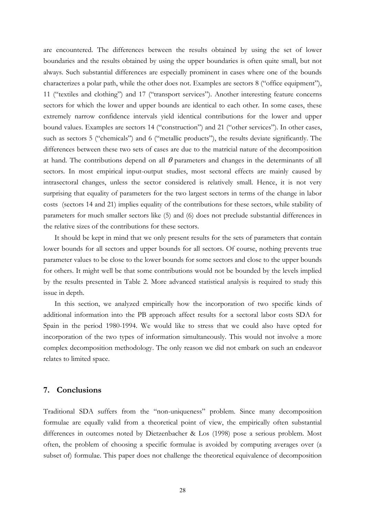are encountered. The differences between the results obtained by using the set of lower boundaries and the results obtained by using the upper boundaries is often quite small, but not always. Such substantial differences are especially prominent in cases where one of the bounds characterizes a polar path, while the other does not. Examples are sectors 8 ("office equipment"), 11 ("textiles and clothing") and 17 ("transport services"). Another interesting feature concerns sectors for which the lower and upper bounds are identical to each other. In some cases, these extremely narrow confidence intervals yield identical contributions for the lower and upper bound values. Examples are sectors 14 ("construction") and 21 ("other services"). In other cases, such as sectors 5 ("chemicals") and 6 ("metallic products"), the results deviate significantly. The differences between these two sets of cases are due to the matricial nature of the decomposition at hand. The contributions depend on all  $\theta$  parameters and changes in the determinants of all sectors. In most empirical input-output studies, most sectoral effects are mainly caused by intrasectoral changes, unless the sector considered is relatively small. Hence, it is not very surprising that equality of parameters for the two largest sectors in terms of the change in labor costs (sectors 14 and 21) implies equality of the contributions for these sectors, while stability of parameters for much smaller sectors like (5) and (6) does not preclude substantial differences in the relative sizes of the contributions for these sectors.

It should be kept in mind that we only present results for the sets of parameters that contain lower bounds for all sectors and upper bounds for all sectors. Of course, nothing prevents true parameter values to be close to the lower bounds for some sectors and close to the upper bounds for others. It might well be that some contributions would not be bounded by the levels implied by the results presented in Table 2. More advanced statistical analysis is required to study this issue in depth.

In this section, we analyzed empirically how the incorporation of two specific kinds of additional information into the PB approach affect results for a sectoral labor costs SDA for Spain in the period 1980-1994. We would like to stress that we could also have opted for incorporation of the two types of information simultaneously. This would not involve a more complex decomposition methodology. The only reason we did not embark on such an endeavor relates to limited space.

#### **7. Conclusions**

Traditional SDA suffers from the "non-uniqueness" problem. Since many decomposition formulae are equally valid from a theoretical point of view, the empirically often substantial differences in outcomes noted by Dietzenbacher & Los (1998) pose a serious problem. Most often, the problem of choosing a specific formulae is avoided by computing averages over (a subset of) formulae. This paper does not challenge the theoretical equivalence of decomposition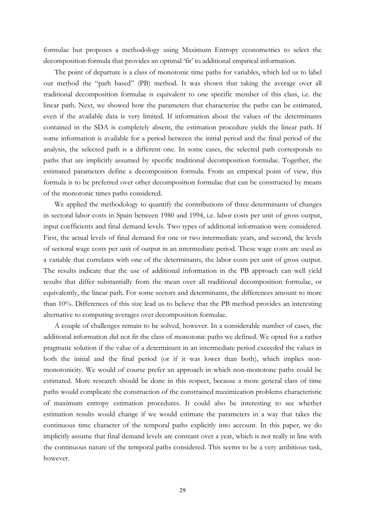formulae but proposes a methodology using Maximum Entropy econometrics to select the decomposition formula that provides an optimal 'fit' to additional empirical information.

The point of departure is a class of monotonic time paths for variables, which led us to label our method the "path based" (PB) method. It was shown that taking the average over all traditional decomposition formulae is equivalent to one specific member of this class, i.e. the linear path. Next, we showed how the parameters that characterize the paths can be estimated, even if the available data is very limited. If information about the values of the determinants contained in the SDA is completely absent, the estimation procedure yields the linear path. If some information is available for a period between the initial period and the final period of the analysis, the selected path is a different one. In some cases, the selected path corresponds to paths that are implicitly assumed by specific traditional decomposition formulae. Together, the estimated parameters define a decomposition formula. From an empirical point of view, this formula is to be preferred over other decomposition formulae that can be constructed by means of the monotonic times paths considered.

We applied the methodology to quantify the contributions of three determinants of changes in sectoral labor costs in Spain between 1980 and 1994, i.e. labor costs per unit of gross output, input coefficients and final demand levels. Two types of additional information were considered. First, the actual levels of final demand for one or two intermediate years, and second, the levels of sectoral wage costs per unit of output in an intermediate period. These wage costs are used as a variable that correlates with one of the determinants, the labor costs per unit of gross output. The results indicate that the use of additional information in the PB approach can well yield results that differ substantially from the mean over all traditional decomposition formulae, or equivalently, the linear path. For some sectors and determinants, the differences amount to more than 10%. Differences of this size lead us to believe that the PB method provides an interesting alternative to computing averages over decomposition formulae.

A couple of challenges remain to be solved, however. In a considerable number of cases, the additional information did not fit the class of monotonic paths we defined. We opted for a rather pragmatic solution if the value of a determinant in an intermediate period exceeded the values in both the initial and the final period (or if it was lower than both), which implies nonmonotonicity. We would of course prefer an approach in which non-monotone paths could be estimated. More research should be done in this respect, because a more general class of time paths would complicate the construction of the constrained maximization problems characteristic of maximum entropy estimation procedures. It could also be interesting to see whether estimation results would change if we would estimate the parameters in a way that takes the continuous time character of the temporal paths explicitly into account. In this paper, we do implicitly assume that final demand levels are constant over a year, which is not really in line with the continuous nature of the temporal paths considered. This seems to be a very ambitious task, however.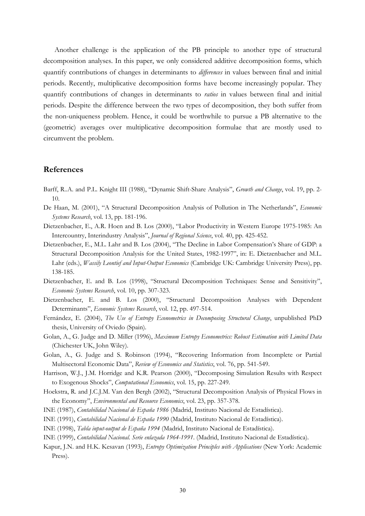Another challenge is the application of the PB principle to another type of structural decomposition analyses. In this paper, we only considered additive decomposition forms, which quantify contributions of changes in determinants to *differences* in values between final and initial periods. Recently, multiplicative decomposition forms have become increasingly popular. They quantify contributions of changes in determinants to *ratios* in values between final and initial periods. Despite the difference between the two types of decomposition, they both suffer from the non-uniqueness problem. Hence, it could be worthwhile to pursue a PB alternative to the (geometric) averages over multiplicative decomposition formulae that are mostly used to circumvent the problem.

#### **References**

- Barff, R..A. and P.L. Knight III (1988), "Dynamic Shift-Share Analysis", *Growth and Change*, vol. 19, pp. 2- 10.
- De Haan, M. (2001), "A Structural Decomposition Analysis of Pollution in The Netherlands", *Economic Systems Research*, vol. 13, pp. 181-196.
- Dietzenbacher, E., A.R. Hoen and B. Los (2000), "Labor Productivity in Western Europe 1975-1985: An Intercountry, Interindustry Analysis", *Journal of Regional Science*, vol. 40, pp. 425-452.
- Dietzenbacher, E., M.L. Lahr and B. Los (2004), "The Decline in Labor Compensation's Share of GDP: a Structural Decomposition Analysis for the United States, 1982-1997", in: E. Dietzenbacher and M.L. Lahr (eds.), *Wassily Leontief and Input-Output Economics* (Cambridge UK: Cambridge University Press), pp. 138-185.
- Dietzenbacher, E. and B. Los (1998), "Structural Decomposition Techniques: Sense and Sensitivity", *Economic Systems Research*, vol. 10, pp. 307-323.
- Dietzenbacher, E. and B. Los (2000), "Structural Decomposition Analyses with Dependent Determinants", *Economic Systems Research*, vol. 12, pp. 497-514.
- Fernández, E. (2004), *The Use of Entropy Econometrics in Decomposing Structural Change*, unpublished PhD thesis, University of Oviedo (Spain).
- Golan, A., G. Judge and D. Miller (1996), *Maximum Entropy Econometrics: Robust Estimation with Limited Data* (Chichester UK, John Wiley).
- Golan, A., G. Judge and S. Robinson (1994), "Recovering Information from Incomplete or Partial Multisectoral Economic Data", *Review of Economics and Statistics*, vol. 76, pp. 541-549.
- Harrison, W.J., J.M. Horridge and K.R. Pearson (2000), "Decomposing Simulation Results with Respect to Exogenous Shocks", *Computational Economics*, vol. 15, pp. 227-249.
- Hoekstra, R. and J.C.J.M. Van den Bergh (2002), "Structural Decomposition Analysis of Physical Flows in the Economy", *Environmental and Resource Economics*, vol. 23, pp. 357-378.
- INE (1987), *Contabilidad Nacional de España 1986* (Madrid, Instituto Nacional de Estadística).
- INE (1991), *Contabilidad Nacional de España 1990* (Madrid, Instituto Nacional de Estadística).
- INE (1998), *Tabla input-output de España 1994* (Madrid, Instituto Nacional de Estadística).
- INE (1999), *Contabilidad Nacional. Serie enlazada 1964-1991*. (Madrid, Instituto Nacional de Estadística).
- Kapur, J.N. and H.K. Kesavan (1993), *Entropy Optimization Principles with Applications* (New York: Academic Press).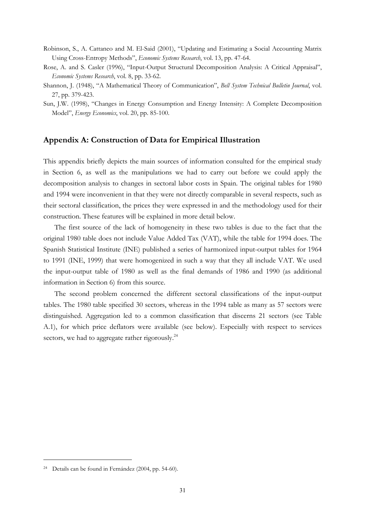- Robinson, S., A. Cattaneo and M. El-Said (2001), "Updating and Estimating a Social Accounting Matrix Using Cross-Entropy Methods", *Economic Systems Research*, vol. 13, pp. 47-64.
- Rose, A. and S. Casler (1996), "Input-Output Structural Decomposition Analysis: A Critical Appraisal", *Economic Systems Research*, vol. 8, pp. 33-62.
- Shannon, J. (1948), "A Mathematical Theory of Communication", *Bell System Technical Bulletin Journal*, vol. 27, pp. 379-423.
- Sun, J.W. (1998), "Changes in Energy Consumption and Energy Intensity: A Complete Decomposition Model", *Energy Economics*, vol. 20, pp. 85-100.

# **Appendix A: Construction of Data for Empirical Illustration**

This appendix briefly depicts the main sources of information consulted for the empirical study in Section 6, as well as the manipulations we had to carry out before we could apply the decomposition analysis to changes in sectoral labor costs in Spain. The original tables for 1980 and 1994 were inconvenient in that they were not directly comparable in several respects, such as their sectoral classification, the prices they were expressed in and the methodology used for their construction. These features will be explained in more detail below.

The first source of the lack of homogeneity in these two tables is due to the fact that the original 1980 table does not include Value Added Tax (VAT), while the table for 1994 does. The Spanish Statistical Institute (INE) published a series of harmonized input-output tables for 1964 to 1991 (INE, 1999) that were homogenized in such a way that they all include VAT. We used the input-output table of 1980 as well as the final demands of 1986 and 1990 (as additional information in Section 6) from this source.

The second problem concerned the different sectoral classifications of the input-output tables. The 1980 table specified 30 sectors, whereas in the 1994 table as many as 57 sectors were distinguished. Aggregation led to a common classification that discerns 21 sectors (see Table A.1), for which price deflators were available (see below). Especially with respect to services sectors, we had to aggregate rather rigorously.<sup>24</sup>

<sup>24</sup> Details can be found in Fernández (2004, pp. 54-60).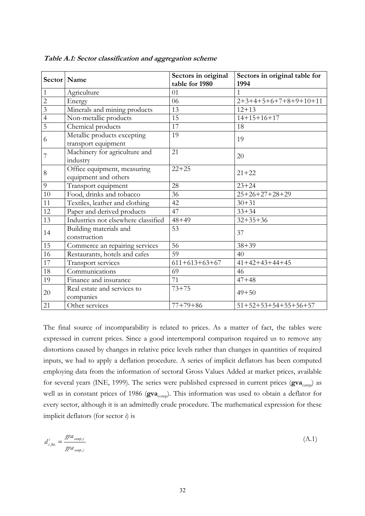|                 | Sector   Name                                       | Sectors in original<br>table for 1980 | Sectors in original table for<br>1994 |  |  |  |  |
|-----------------|-----------------------------------------------------|---------------------------------------|---------------------------------------|--|--|--|--|
| $\mathbf{1}$    | Agriculture                                         | 01                                    | $\mathbf{1}$                          |  |  |  |  |
| $\overline{2}$  | Energy                                              | 06                                    | $2+3+4+5+6+7+8+9+10+11$               |  |  |  |  |
| $\overline{3}$  | Minerals and mining products                        | 13                                    | $12 + 13$                             |  |  |  |  |
| $\overline{4}$  | Non-metallic products                               | 15                                    | $14+15+16+17$                         |  |  |  |  |
| 5               | Chemical products                                   | 17                                    | 18                                    |  |  |  |  |
| 6               | Metallic products excepting<br>transport equipment  | 19                                    | 19                                    |  |  |  |  |
| 7               | Machinery for agriculture and<br>industry           | 21                                    | 20                                    |  |  |  |  |
| 8               | Office equipment, measuring<br>equipment and others | $22 + 25$                             | $21 + 22$                             |  |  |  |  |
| 9               | Transport equipment                                 | 28                                    | $23 + 24$                             |  |  |  |  |
| 10              | Food, drinks and tobacco                            | 36                                    | $25+26+27+28+29$                      |  |  |  |  |
| 11              | Textiles, leather and clothing                      | 42                                    | $30 + 31$                             |  |  |  |  |
| 12              | Paper and derived products                          | 47                                    | $33 + 34$                             |  |  |  |  |
| 13              | Industries not elsewhere classified                 | $48 + 49$                             | $32 + 35 + 36$                        |  |  |  |  |
| 14              | Building materials and<br>construction              | 53                                    | 37                                    |  |  |  |  |
| 15              | Commerce an repairing services                      | 56                                    | $38 + 39$                             |  |  |  |  |
| 16              | Restaurants, hotels and cafes                       | 59                                    | 40                                    |  |  |  |  |
| $\overline{17}$ | Transport services                                  | $611+613+63+67$                       | $41 + 42 + 43 + 44 + 45$              |  |  |  |  |
| 18              | Communications                                      | 69                                    | 46                                    |  |  |  |  |
| 19              | Finance and insurance                               | 71                                    | $47 + 48$                             |  |  |  |  |
| 20              | Real estate and services to<br>companies            | $73 + 75$                             | $49 + 50$                             |  |  |  |  |
| 21              | Other services                                      | $77 + 79 + 86$                        | $51+52+53+54+55+56+57$                |  |  |  |  |

**Table A.1: Sector classification and aggregation scheme** 

The final source of incomparability is related to prices. As a matter of fact, the tables were expressed in current prices. Since a good intertemporal comparison required us to remove any distortions caused by changes in relative price levels rather than changes in quantities of required inputs, we had to apply a deflation procedure. A series of implicit deflators has been computed employing data from the information of sectoral Gross Values Added at market prices, available for several years (INE, 1999). The series were published expressed in current prices ( $\mathbf{gva}_{\text{cump}}$ ) as well as in constant prices of 1986 ( $\text{gva}_{\text{comp}}$ ). This information was used to obtain a deflator for every sector, although it is an admittedly crude procedure. The mathematical expression for these implicit deflators (for sector *i*) is

$$
d_{i,86}^i = \frac{\mathcal{L}^{va}_{\textit{cump},i}}{\mathcal{L}^{va}_{\textit{comp},i}} \tag{A.1}
$$